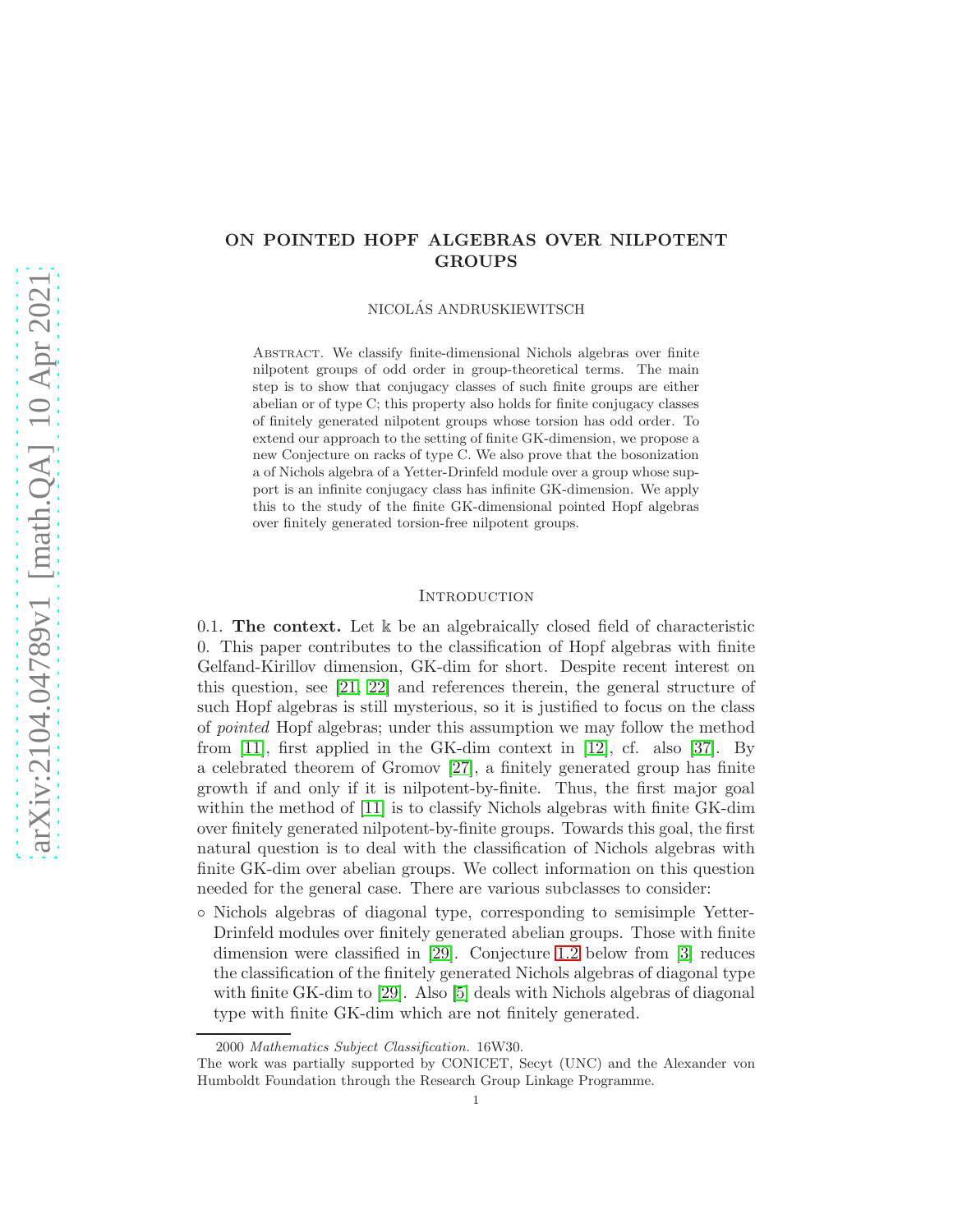# ON POINTED HOPF ALGEBRAS OVER NILPOTENT GROUPS

NICOLAS ANDRUSKIEWITSCH ´

Abstract. We classify finite-dimensional Nichols algebras over finite nilpotent groups of odd order in group-theoretical terms. The main step is to show that conjugacy classes of such finite groups are either abelian or of type C; this property also holds for finite conjugacy classes of finitely generated nilpotent groups whose torsion has odd order. To extend our approach to the setting of finite GK-dimension, we propose a new Conjecture on racks of type C. We also prove that the bosonization a of Nichols algebra of a Yetter-Drinfeld module over a group whose support is an infinite conjugacy class has infinite GK-dimension. We apply this to the study of the finite GK-dimensional pointed Hopf algebras over finitely generated torsion-free nilpotent groups.

### **INTRODUCTION**

<span id="page-0-0"></span>0.1. The context. Let  $\⊂>k$  be an algebraically closed field of characteristic 0. This paper contributes to the classification of Hopf algebras with finite Gelfand-Kirillov dimension, GK-dim for short. Despite recent interest on this question, see [\[21,](#page-24-0) [22\]](#page-24-1) and references therein, the general structure of such Hopf algebras is still mysterious, so it is justified to focus on the class of pointed Hopf algebras; under this assumption we may follow the method from [11], first applied in the GK-dim context in [\[12\]](#page-24-2), cf. also [37]. By a celebrated theorem of Gromov [\[27\]](#page-25-0), a finitely generated group has finite growth if and only if it is nilpotent-by-finite. Thus, the first major goal within the method of [11] is to classify Nichols algebras with finite GK-dim over finitely generated nilpotent-by-finite groups. Towards this goal, the first natural question is to deal with the classification of Nichols algebras with finite GK-dim over abelian groups. We collect information on this question needed for the general case. There are various subclasses to consider:

◦ Nichols algebras of diagonal type, corresponding to semisimple Yetter-Drinfeld modules over finitely generated abelian groups. Those with finite dimension were classified in [\[29\]](#page-25-1). Conjecture [1.2](#page-3-0) below from [\[3\]](#page-24-3) reduces the classification of the finitely generated Nichols algebras of diagonal type with finite GK-dim to [\[29\]](#page-25-1). Also [\[5\]](#page-24-4) deals with Nichols algebras of diagonal type with finite GK-dim which are not finitely generated.

<sup>2000</sup> Mathematics Subject Classification. 16W30.

The work was partially supported by CONICET, Secyt (UNC) and the Alexander von Humboldt Foundation through the Research Group Linkage Programme.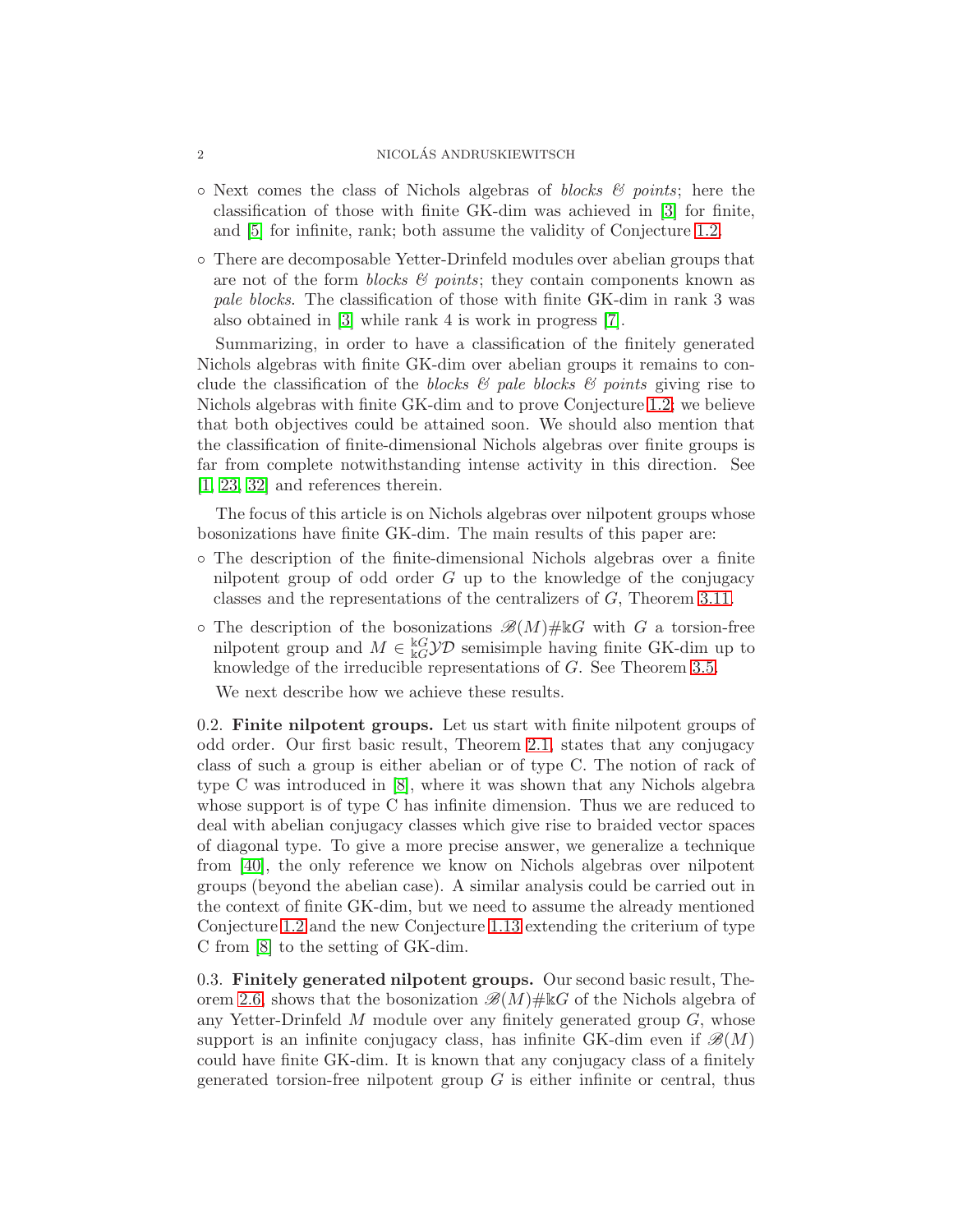#### 2 NICOLAS ANDRUSKIEWITSCH ´

- $\circ$  Next comes the class of Nichols algebras of *blocks & points*; here the classification of those with finite GK-dim was achieved in [\[3\]](#page-24-3) for finite, and [\[5\]](#page-24-4) for infinite, rank; both assume the validity of Conjecture [1.2.](#page-3-0)
- There are decomposable Yetter-Drinfeld modules over abelian groups that are not of the form *blocks*  $\mathcal{C}$  points; they contain components known as pale blocks. The classification of those with finite GK-dim in rank 3 was also obtained in [\[3\]](#page-24-3) while rank 4 is work in progress [\[7\]](#page-24-5).

Summarizing, in order to have a classification of the finitely generated Nichols algebras with finite GK-dim over abelian groups it remains to conclude the classification of the blocks  $\mathcal{B}$  pale blocks  $\mathcal{B}$  points giving rise to Nichols algebras with finite GK-dim and to prove Conjecture [1.2;](#page-3-0) we believe that both objectives could be attained soon. We should also mention that the classification of finite-dimensional Nichols algebras over finite groups is far from complete notwithstanding intense activity in this direction. See [\[1,](#page-24-6) [23,](#page-24-7) 32] and references therein.

The focus of this article is on Nichols algebras over nilpotent groups whose bosonizations have finite GK-dim. The main results of this paper are:

- The description of the finite-dimensional Nichols algebras over a finite nilpotent group of odd order  $G$  up to the knowledge of the conjugacy classes and the representations of the centralizers of G, Theorem [3.11.](#page-17-0)
- $\circ$  The description of the bosonizations  $\mathscr{B}(M)\# \mathbb{K}G$  with G a torsion-free nilpotent group and  $M \in \frac{\mathbb{k}G}{\mathbb{k}G}$  semisimple having finite GK-dim up to knowledge of the irreducible representations of G. See Theorem [3.5.](#page-14-0)

We next describe how we achieve these results.

0.2. Finite nilpotent groups. Let us start with finite nilpotent groups of odd order. Our first basic result, Theorem [2.1,](#page-8-0) states that any conjugacy class of such a group is either abelian or of type C. The notion of rack of type C was introduced in [\[8\]](#page-24-8), where it was shown that any Nichols algebra whose support is of type C has infinite dimension. Thus we are reduced to deal with abelian conjugacy classes which give rise to braided vector spaces of diagonal type. To give a more precise answer, we generalize a technique from [\[40\]](#page-25-2), the only reference we know on Nichols algebras over nilpotent groups (beyond the abelian case). A similar analysis could be carried out in the context of finite GK-dim, but we need to assume the already mentioned Conjecture [1.2](#page-3-0) and the new Conjecture [1.13](#page-7-0) extending the criterium of type C from [\[8\]](#page-24-8) to the setting of GK-dim.

0.3. Finitely generated nilpotent groups. Our second basic result, The-orem [2.6,](#page-10-0) shows that the bosonization  $\mathscr{B}(M)\# \Bbbk G$  of the Nichols algebra of any Yetter-Drinfeld  $M$  module over any finitely generated group  $G$ , whose support is an infinite conjugacy class, has infinite GK-dim even if  $\mathscr{B}(M)$ could have finite GK-dim. It is known that any conjugacy class of a finitely generated torsion-free nilpotent group  $G$  is either infinite or central, thus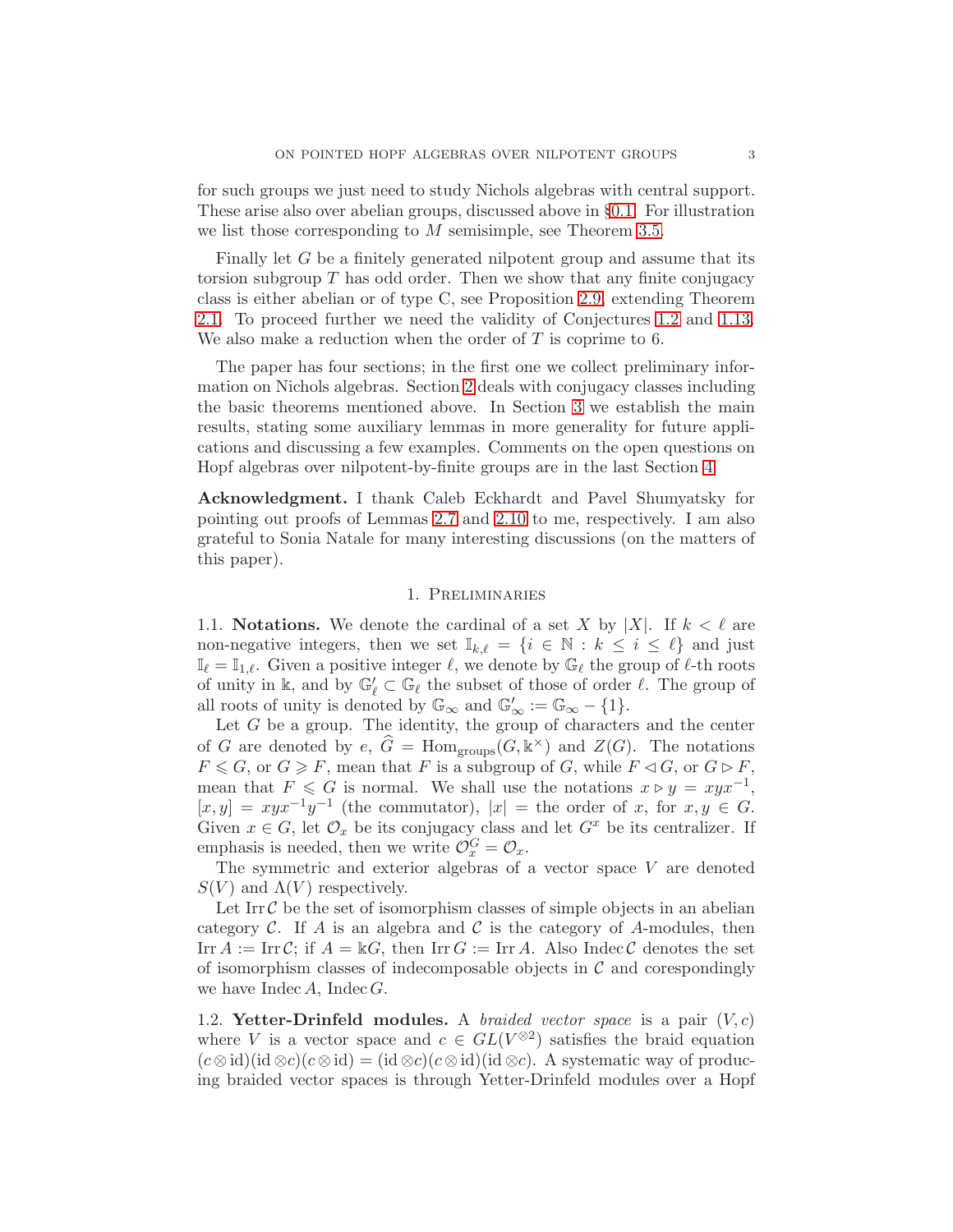for such groups we just need to study Nichols algebras with central support. These arise also over abelian groups, discussed above in §[0.1.](#page-0-0) For illustration we list those corresponding to M semisimple, see Theorem [3.5.](#page-14-0)

Finally let G be a finitely generated nilpotent group and assume that its torsion subgroup  $T$  has odd order. Then we show that any finite conjugacy class is either abelian or of type C, see Proposition [2.9,](#page-11-0) extending Theorem [2.1.](#page-8-0) To proceed further we need the validity of Conjectures [1.2](#page-3-0) and [1.13.](#page-7-0) We also make a reduction when the order of  $T$  is coprime to 6.

The paper has four sections; in the first one we collect preliminary information on Nichols algebras. Section [2](#page-8-1) deals with conjugacy classes including the basic theorems mentioned above. In Section [3](#page-13-0) we establish the main results, stating some auxiliary lemmas in more generality for future applications and discussing a few examples. Comments on the open questions on Hopf algebras over nilpotent-by-finite groups are in the last Section [4.](#page-22-0)

Acknowledgment. I thank Caleb Eckhardt and Pavel Shumyatsky for pointing out proofs of Lemmas [2.7](#page-11-1) and [2.10](#page-12-0) to me, respectively. I am also grateful to Sonia Natale for many interesting discussions (on the matters of this paper).

# 1. Preliminaries

1.1. **Notations.** We denote the cardinal of a set X by |X|. If  $k < \ell$  are non-negative integers, then we set  $\mathbb{I}_{k,\ell} = \{i \in \mathbb{N} : k \leq i \leq \ell\}$  and just  $\mathbb{I}_{\ell} = \mathbb{I}_{1,\ell}$ . Given a positive integer  $\ell$ , we denote by  $\mathbb{G}_{\ell}$  the group of  $\ell$ -th roots of unity in  $\mathbb{k}$ , and by  $\mathbb{G}_\ell' \subset \mathbb{G}_\ell$  the subset of those of order  $\ell$ . The group of all roots of unity is denoted by  $\mathbb{G}_{\infty}$  and  $\mathbb{G}'_{\infty} := \mathbb{G}_{\infty} - \{1\}.$ 

Let  $G$  be a group. The identity, the group of characters and the center of G are denoted by  $e, \hat{G} = \text{Hom}_{\text{groups}}(G, \mathbb{k}^{\times})$  and  $Z(G)$ . The notations  $F \le G$ , or  $G \ge F$ , mean that F is a subgroup of G, while  $F \lhd G$ , or  $G \rhd F$ , mean that  $F \leq G$  is normal. We shall use the notations  $x \triangleright y = xyx^{-1}$ ,  $[x, y] = xyx^{-1}y^{-1}$  (the commutator),  $|x| =$  the order of x, for  $x, y \in G$ . Given  $x \in G$ , let  $\mathcal{O}_x$  be its conjugacy class and let  $G^x$  be its centralizer. If emphasis is needed, then we write  $\mathcal{O}_x^G = \mathcal{O}_x$ .

The symmetric and exterior algebras of a vector space  $V$  are denoted  $S(V)$  and  $\Lambda(V)$  respectively.

Let  $\text{Irr } \mathcal{C}$  be the set of isomorphism classes of simple objects in an abelian category  $\mathcal C$ . If A is an algebra and  $\mathcal C$  is the category of A-modules, then Irr  $A := \text{Irr } C$ ; if  $A = \mathbb{k}G$ , then Irr  $G := \text{Irr } A$ . Also Indec C denotes the set of isomorphism classes of indecomposable objects in  $\mathcal C$  and corespondingly we have  $\text{Index }A$ ,  $\text{Index }G$ .

1.2. Yetter-Drinfeld modules. A braided vector space is a pair  $(V, c)$ where V is a vector space and  $c \in GL(V^{\otimes 2})$  satisfies the braid equation  $(c \otimes id)(id \otimes c)(c \otimes id) = (id \otimes c)(c \otimes id)(id \otimes c)$ . A systematic way of producing braided vector spaces is through Yetter-Drinfeld modules over a Hopf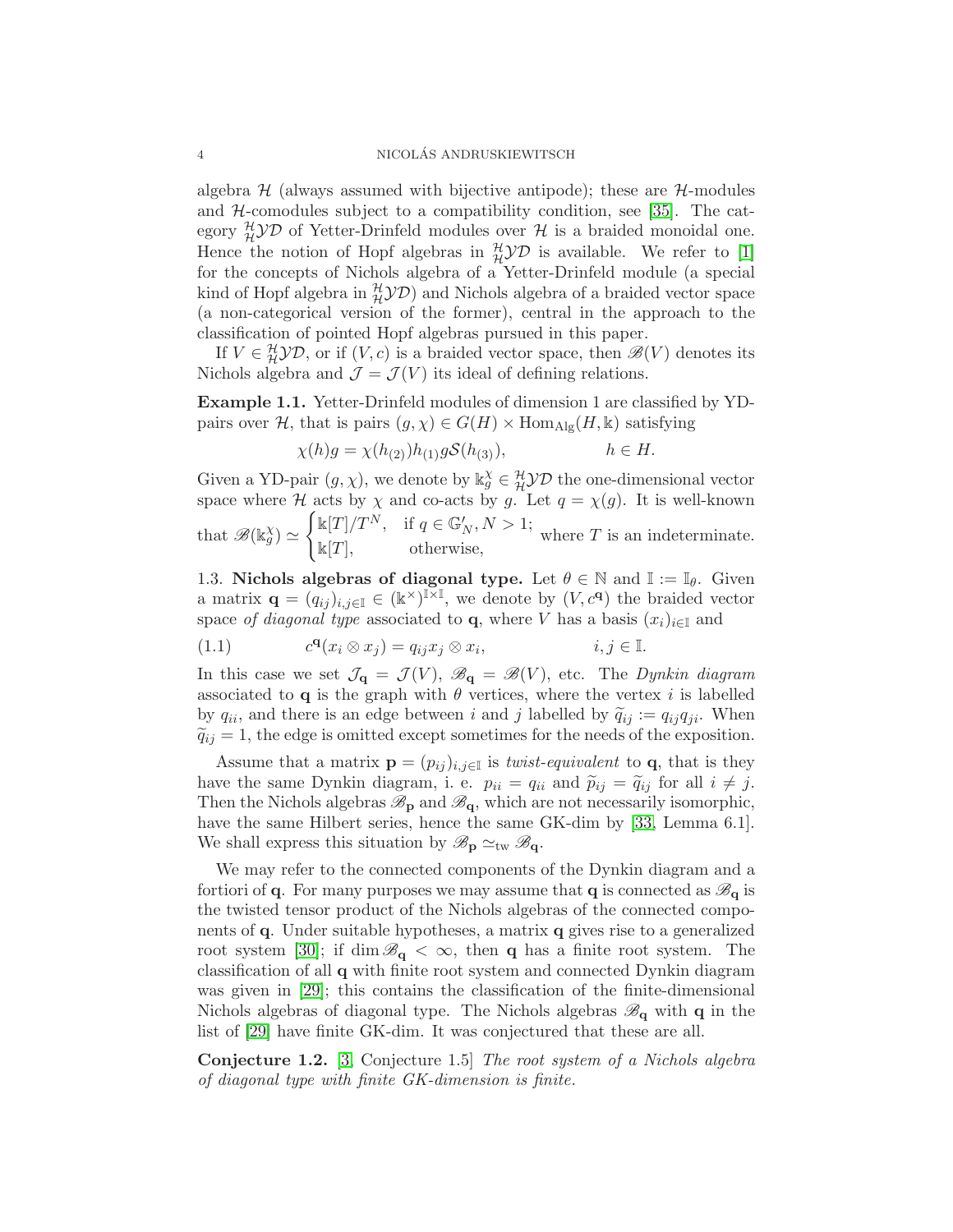algebra  $H$  (always assumed with bijective antipode); these are  $H$ -modules and  $H$ -comodules subject to a compatibility condition, see [\[35\]](#page-25-3). The category  $_{\mathcal{H}}^{\mathcal{H}}\mathcal{YD}$  of Yetter-Drinfeld modules over  $\mathcal{H}$  is a braided monoidal one. Hence the notion of Hopf algebras in  $\frac{\mathcal{H}}{\mathcal{U}}\mathcal{D}$  is available. We refer to [\[1\]](#page-24-6) for the concepts of Nichols algebra of a Yetter-Drinfeld module (a special kind of Hopf algebra in  $^{\mathcal{H}}_{\mathcal{H}}\mathcal{YD}$ ) and Nichols algebra of a braided vector space (a non-categorical version of the former), central in the approach to the classification of pointed Hopf algebras pursued in this paper.

If  $V \in \mathcal{H} \mathcal{YD}$ , or if  $(V, c)$  is a braided vector space, then  $\mathcal{B}(V)$  denotes its Nichols algebra and  $\mathcal{J} = \mathcal{J}(V)$  its ideal of defining relations.

<span id="page-3-1"></span>Example 1.1. Yetter-Drinfeld modules of dimension 1 are classified by YDpairs over H, that is pairs  $(g, \chi) \in G(H) \times \text{Hom}_{\text{Alg}}(H, \mathbb{k})$  satisfying

$$
\chi(h)g = \chi(h_{(2)})h_{(1)}gS(h_{(3)}), \qquad h \in H.
$$

Given a YD-pair  $(g, \chi)$ , we denote by  $\Bbbk_g^{\chi} \in \mathcal{H} \mathcal{YD}$  the one-dimensional vector space where H acts by  $\chi$  and co-acts by g. Let  $q = \chi(g)$ . It is well-known  $\int \mathbb{k}[T]/T^N, \quad \text{if } q \in \mathbb{G}'_N, N > 1;$ 

that  $\mathscr{B}(\Bbbk_g^{\chi}) \simeq$  $\mathbb{R}[T],$   $\mathbb{R}[T],$  otherwise,  $\mathbb{R}[T]$ ,  $\mathbb{R}[T]$ 

1.3. Nichols algebras of diagonal type. Let  $\theta \in \mathbb{N}$  and  $\mathbb{I} := \mathbb{I}_{\theta}$ . Given a matrix  $\mathbf{q} = (q_{ij})_{i,j\in\mathbb{I}} \in (\mathbb{k}^\times)^{\mathbb{I}\times\mathbb{I}}$ , we denote by  $(V, c^{\mathbf{q}})$  the braided vector space of diagonal type associated to **q**, where V has a basis  $(x_i)_{i\in\mathbb{I}}$  and

(1.1) 
$$
c^{\mathbf{q}}(x_i \otimes x_j) = q_{ij} x_j \otimes x_i, \qquad i, j \in \mathbb{I}.
$$

In this case we set  $\mathcal{J}_{q} = \mathcal{J}(V)$ ,  $\mathcal{B}_{q} = \mathcal{B}(V)$ , etc. The *Dynkin diagram* associated to **q** is the graph with  $\theta$  vertices, where the vertex i is labelled by  $q_{ii}$ , and there is an edge between i and j labelled by  $\tilde{q}_{ij} := q_{ij}q_{ji}$ . When  $\tilde{q}_{ij} = 1$ , the edge is omitted except sometimes for the needs of the exposition.

Assume that a matrix  $\mathbf{p} = (p_{ij})_{i,j\in\mathbb{I}}$  is *twist-equivalent* to  $\mathbf{q}$ , that is they have the same Dynkin diagram, i. e.  $p_{ii} = q_{ii}$  and  $\tilde{p}_{ij} = \tilde{q}_{ij}$  for all  $i \neq j$ . Then the Nichols algebras  $\mathscr{B}_{p}$  and  $\mathscr{B}_{q}$ , which are not necessarily isomorphic, have the same Hilbert series, hence the same GK-dim by [\[33,](#page-25-4) Lemma 6.1]. We shall express this situation by  $\mathscr{B}_{\mathbf{p}} \simeq_{\text{tw}} \mathscr{B}_{\mathbf{q}}$ .

We may refer to the connected components of the Dynkin diagram and a fortiori of q. For many purposes we may assume that q is connected as  $\mathscr{B}_{q}$  is the twisted tensor product of the Nichols algebras of the connected components of q. Under suitable hypotheses, a matrix q gives rise to a generalized root system [\[30\]](#page-25-5); if dim  $\mathscr{B}_{q} < \infty$ , then q has a finite root system. The classification of all q with finite root system and connected Dynkin diagram was given in [\[29\]](#page-25-1); this contains the classification of the finite-dimensional Nichols algebras of diagonal type. The Nichols algebras  $\mathscr{B}_{q}$  with q in the list of [\[29\]](#page-25-1) have finite GK-dim. It was conjectured that these are all.

<span id="page-3-0"></span>Conjecture 1.2. [\[3,](#page-24-3) Conjecture 1.5] The root system of a Nichols algebra of diagonal type with finite GK-dimension is finite.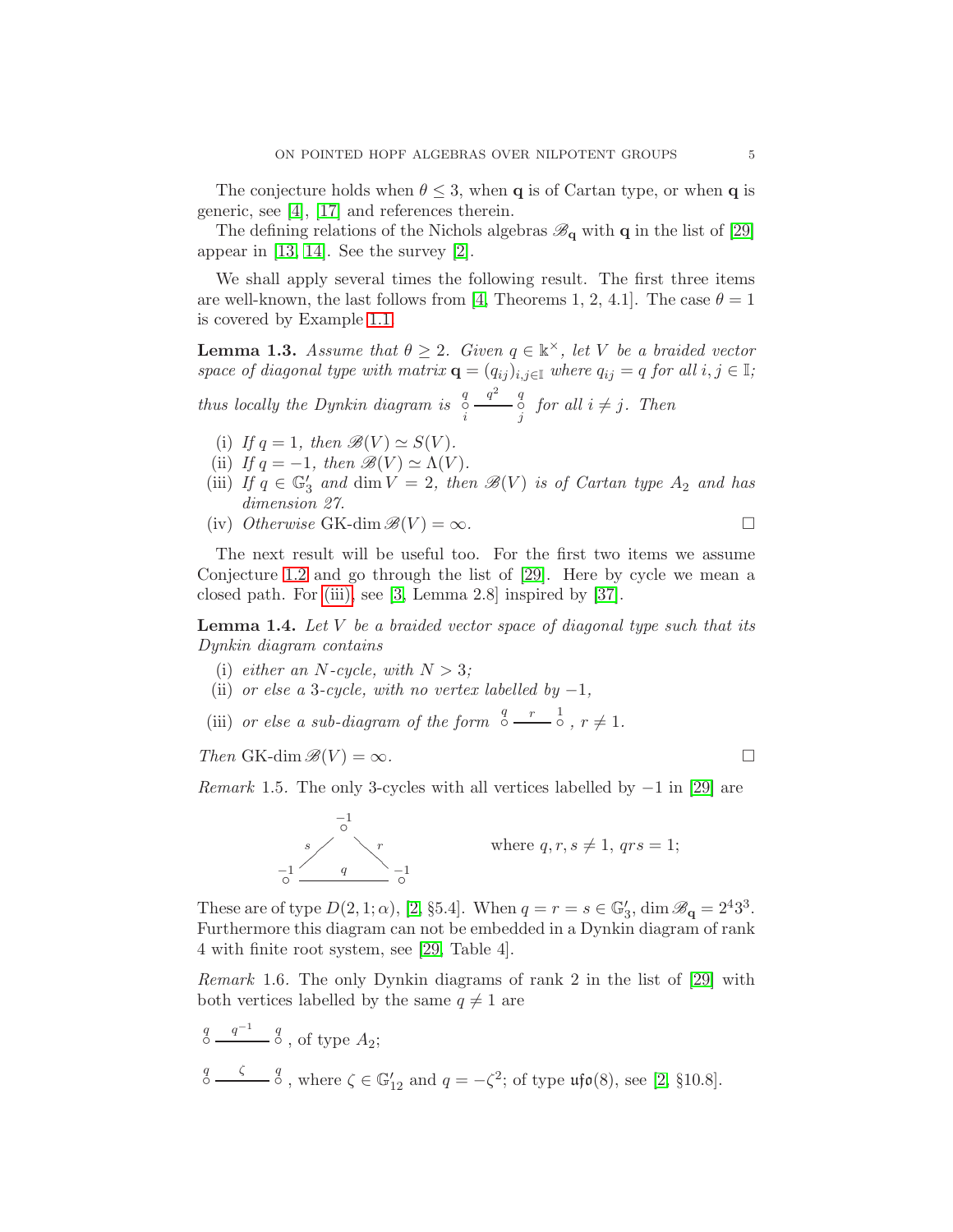The conjecture holds when  $\theta \leq 3$ , when **q** is of Cartan type, or when **q** is generic, see [\[4\]](#page-24-9), [\[17\]](#page-24-10) and references therein.

The defining relations of the Nichols algebras  $\mathscr{B}_{q}$  with q in the list of [\[29\]](#page-25-1) appear in [\[13,](#page-24-11) [14\]](#page-24-12). See the survey [\[2\]](#page-24-13).

We shall apply several times the following result. The first three items are well-known, the last follows from [\[4,](#page-24-9) Theorems 1, 2, 4.1]. The case  $\theta = 1$ is covered by Example [1.1.](#page-3-1)

<span id="page-4-1"></span>**Lemma 1.3.** Assume that  $\theta \geq 2$ . Given  $q \in \mathbb{k}^{\times}$ , let V be a braided vector space of diagonal type with matrix  $\mathbf{q} = (q_{ij})_{i,j\in\mathbb{I}}$  where  $q_{ij} = q$  for all  $i, j \in \mathbb{I}$ ;

thus locally the Dynkin diagram is  $\int_{i}^{q}$  $\frac{q^2}{j}$  of  $j$  for all  $i \neq j$ . Then

- (i) If  $q = 1$ , then  $\mathscr{B}(V) \simeq S(V)$ .
- (ii) If  $q = -1$ , then  $\mathscr{B}(V) \simeq \Lambda(V)$ .
- (iii) If  $q \in \mathbb{G}'_3$  and  $\dim V = 2$ , then  $\mathscr{B}(V)$  is of Cartan type  $A_2$  and has dimension 27.
- (iv) Otherwise GK-dim  $\mathscr{B}(V) = \infty$ .

The next result will be useful too. For the first two items we assume Conjecture [1.2](#page-3-0) and go through the list of [\[29\]](#page-25-1). Here by cycle we mean a closed path. For [\(iii\),](#page-4-0) see [\[3,](#page-24-3) Lemma 2.8] inspired by [37].

<span id="page-4-2"></span>**Lemma 1.4.** Let  $V$  be a braided vector space of diagonal type such that its Dynkin diagram contains

- <span id="page-4-3"></span>(i) either an N-cycle, with  $N > 3$ ;
- <span id="page-4-0"></span>(ii) or else a 3-cycle, with no vertex labelled by  $-1$ ,
- (iii) or else a sub-diagram of the form  $\frac{q}{\circ} \frac{r}{r} \frac{1}{r}$ ,  $r \neq 1$ .

Then GK-dim  $\mathscr{B}(V) = \infty$ .

<span id="page-4-5"></span>*Remark* 1.5. The only 3-cycles with all vertices labelled by  $-1$  in [\[29\]](#page-25-1) are



These are of type  $D(2, 1; \alpha)$ , [\[2,](#page-24-13) §5.4]. When  $q = r = s \in \mathbb{G}'_3$ , dim  $\mathscr{B}_{\mathbf{q}} = 2^4 3^3$ . Furthermore this diagram can not be embedded in a Dynkin diagram of rank 4 with finite root system, see [\[29,](#page-25-1) Table 4].

<span id="page-4-4"></span>Remark 1.6. The only Dynkin diagrams of rank 2 in the list of [\[29\]](#page-25-1) with both vertices labelled by the same  $q \neq 1$  are

 $\frac{q}{\circ}$  $q^{-1}$  q  $\delta$ , of type  $A_2$ ;  $\int_{0}^{q} \frac{\zeta}{\zeta} \frac{q}{\zeta}$ , where  $\zeta \in \mathbb{G}'_{12}$  and  $q = -\zeta^2$ ; of type  $\mathfrak{u}\mathfrak{f}\mathfrak{o}(8)$ , see [\[2,](#page-24-13) §10.8].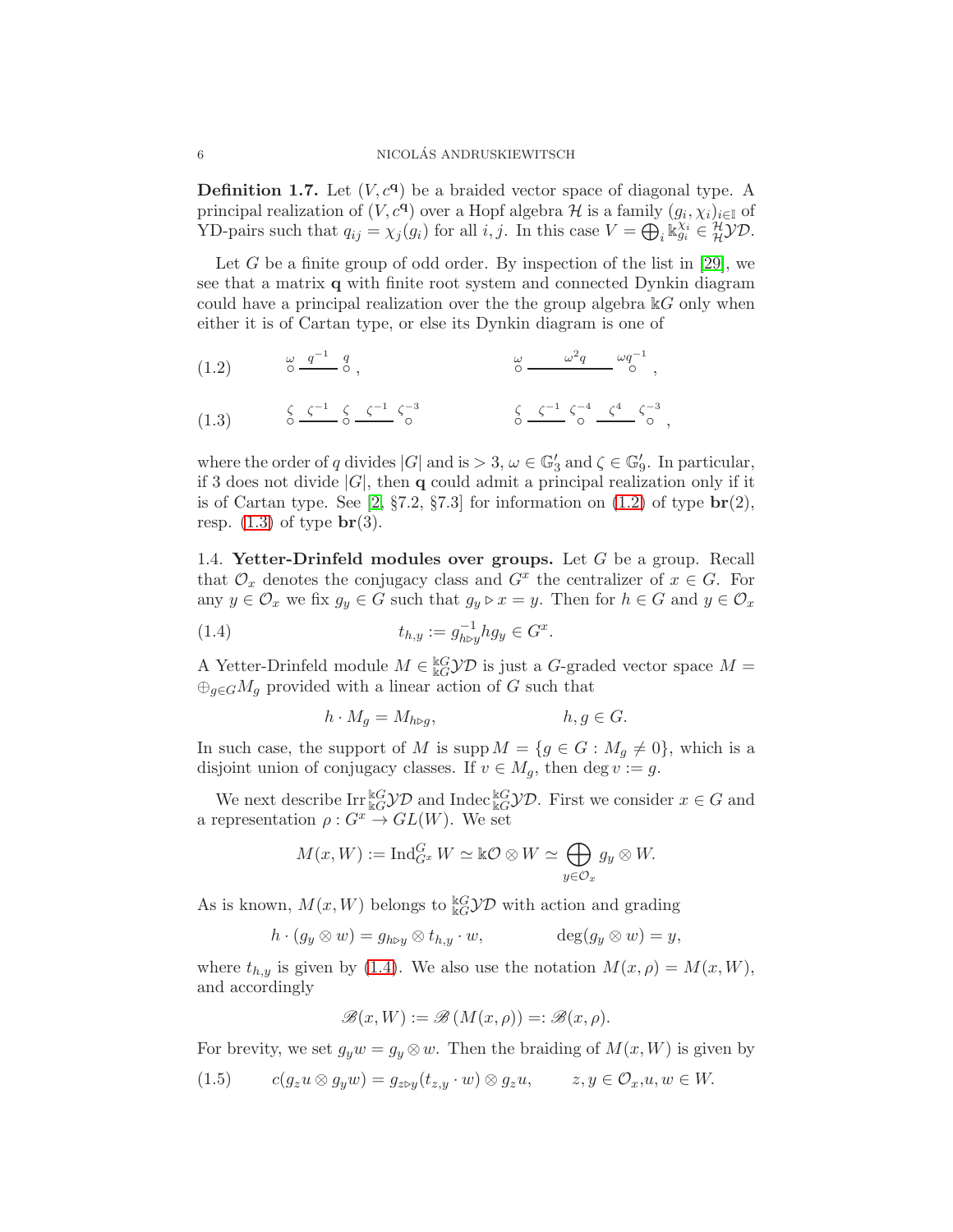<span id="page-5-4"></span>**Definition 1.7.** Let  $(V, c<sup>q</sup>)$  be a braided vector space of diagonal type. A principal realization of  $(V, c^{\mathbf{q}})$  over a Hopf algebra  $\mathcal H$  is a family  $(g_i, \chi_i)_{i \in \mathbb I}$  of YD-pairs such that  $q_{ij} = \chi_j(g_i)$  for all  $i, j$ . In this case  $V = \bigoplus_i \mathbb{K}_{g_i}^{\chi_i} \in \mathcal{H} \mathcal{YD}$ .

Let G be a finite group of odd order. By inspection of the list in [\[29\]](#page-25-1), we see that a matrix q with finite root system and connected Dynkin diagram could have a principal realization over the the group algebra  $\mathbb{K}G$  only when either it is of Cartan type, or else its Dynkin diagram is one of

<span id="page-5-0"></span>(1.2) 
$$
\omega \frac{q^{-1}}{6} \frac{q}{6},
$$
  $\omega \frac{q^{-2}q}{6} \omega q^{-1},$   
\n(1.3)  $\zeta \frac{\zeta^{-1}}{6} \zeta \frac{\zeta^{-1}}{6} \zeta^{-3}$   $\zeta \frac{\zeta^{-1}}{6} \zeta^{-4} \frac{\zeta^{4}}{6} \zeta^{-3},$ 

<span id="page-5-1"></span>where the order of q divides  $|G|$  and is  $> 3, \omega \in \mathbb{G}'_3$  and  $\zeta \in \mathbb{G}'_9$ . In particular, if 3 does not divide  $|G|$ , then q could admit a principal realization only if it is of Cartan type. See  $[2, \S7.2, \S7.3]$  for information on  $(1.2)$  of type  $\mathbf{br}(2)$ , resp.  $(1.3)$  of type  $\mathbf{br}(3)$ .

1.4. Yetter-Drinfeld modules over groups. Let  $G$  be a group. Recall that  $\mathcal{O}_x$  denotes the conjugacy class and  $G^x$  the centralizer of  $x \in G$ . For any  $y \in \mathcal{O}_x$  we fix  $g_y \in G$  such that  $g_y \triangleright x = y$ . Then for  $h \in G$  and  $y \in \mathcal{O}_x$ 

<span id="page-5-2"></span>(1.4) 
$$
t_{h,y} := g_{h \triangleright y}^{-1} h g_y \in G^x.
$$

A Yetter-Drinfeld module  $M \in \frac{\Bbbk G}{\Bbbk G}$  is just a G-graded vector space  $M =$  $\bigoplus_{q\in G}M_q$  provided with a linear action of G such that

$$
h \cdot M_g = M_{h \triangleright g}, \qquad \qquad h, g \in G.
$$

In such case, the support of M is supp  $M = \{g \in G : M_q \neq 0\}$ , which is a disjoint union of conjugacy classes. If  $v \in M_g$ , then deg  $v := g$ .

We next describe  $\text{Irr}\frac{kG}{kG}\mathcal{YD}$  and Indec  $\frac{kG}{kG}\mathcal{YD}$ . First we consider  $x \in G$  and a representation  $\rho: G^x \to GL(W)$ . We set

$$
M(x, W) := \operatorname{Ind}_{G^x}^G W \simeq \mathbb{k} \mathcal{O} \otimes W \simeq \bigoplus_{y \in \mathcal{O}_x} g_y \otimes W.
$$

As is known,  $M(x, W)$  belongs to  ${}_{kG}^{kG}$  $\mathcal{YD}$  with action and grading

$$
h \cdot (g_y \otimes w) = g_{h \triangleright y} \otimes t_{h,y} \cdot w, \qquad \deg(g_y \otimes w) = y,
$$

where  $t_{h,y}$  is given by [\(1.4\)](#page-5-2). We also use the notation  $M(x,\rho) = M(x,W)$ , and accordingly

$$
\mathscr{B}(x,W) := \mathscr{B}(M(x,\rho)) =: \mathscr{B}(x,\rho).
$$

For brevity, we set  $g_y w = g_y \otimes w$ . Then the braiding of  $M(x, W)$  is given by

<span id="page-5-3"></span>
$$
(1.5) \t c(g_z u \otimes g_y w) = g_{z \uplus y}(t_{z,y} \cdot w) \otimes g_z u, \t z, y \in \mathcal{O}_x, u, w \in W.
$$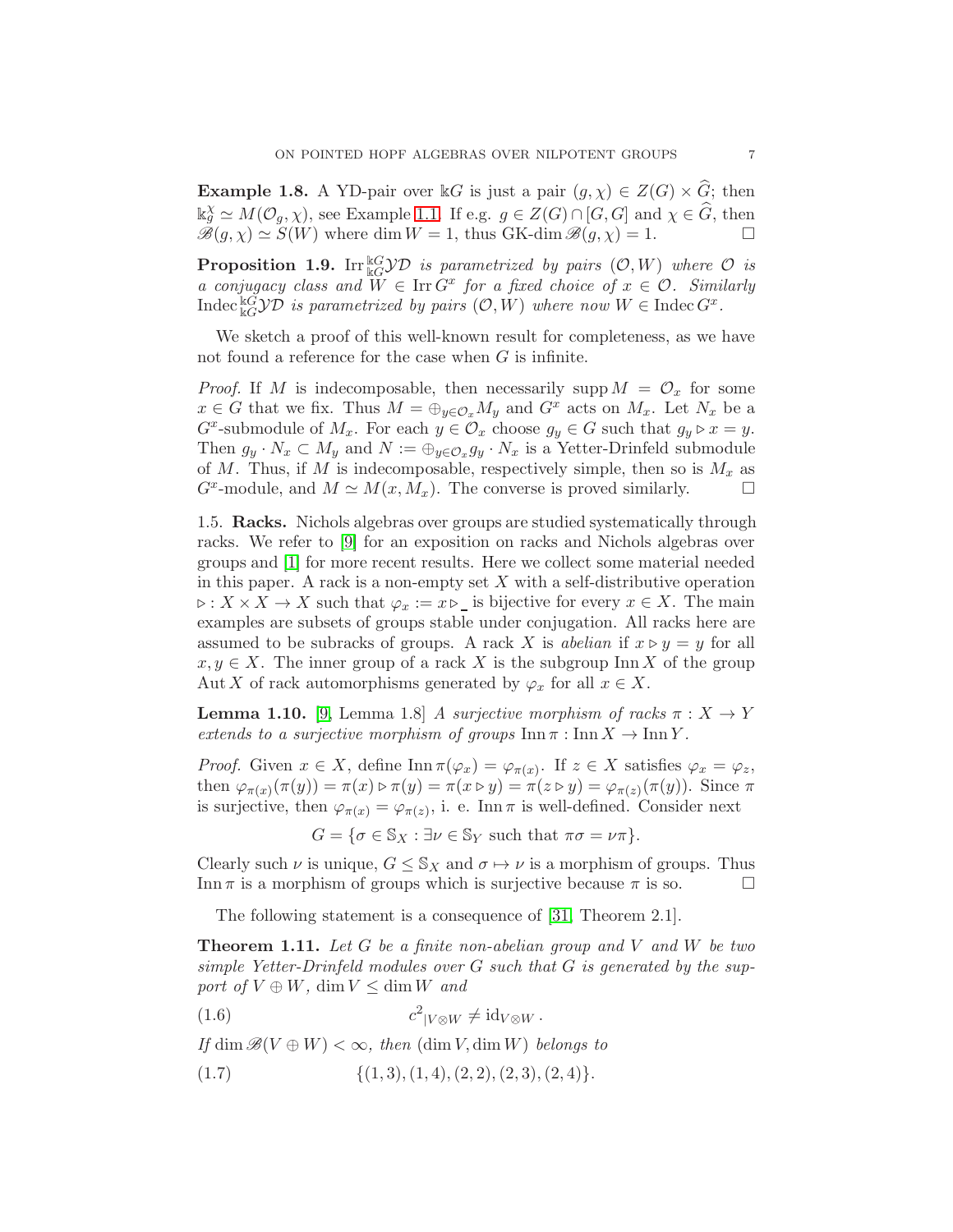**Example 1.8.** A YD-pair over kG is just a pair  $(g, \chi) \in Z(G) \times \widehat{G}$ ; then  $\Bbbk_{g}^{\chi} \simeq M(\mathcal{O}_{g}, \chi)$ , see Example [1.1.](#page-3-1) If e.g.  $g \in Z(G) \cap [G, G]$  and  $\chi \in \widehat{G}$ , then  $\mathscr{B}(g,\chi) \simeq S(W)$  where dim  $W = 1$ , thus GK-dim  $\mathscr{B}(g,\chi) = 1$ .

**Proposition 1.9.** Irr ${}^k G \mathcal{YD}$  is parametrized by pairs  $(\mathcal{O}, W)$  where  $\mathcal O$  is a conjugacy class and  $W \in \text{Irr } G^x$  for a fixed choice of  $x \in \mathcal{O}$ . Similarly Indec  ${}_{kG}^{kG}$ *y* $D$  is parametrized by pairs  $(O, W)$  where now  $W \in \text{Index } G^x$ .

We sketch a proof of this well-known result for completeness, as we have not found a reference for the case when  $G$  is infinite.

*Proof.* If M is indecomposable, then necessarily supp  $M = \mathcal{O}_x$  for some  $x \in G$  that we fix. Thus  $M = \bigoplus_{y \in \mathcal{O}_x} M_y$  and  $G^x$  acts on  $M_x$ . Let  $N_x$  be a  $G^x$ -submodule of  $M_x$ . For each  $y \in \mathcal{O}_x$  choose  $g_y \in G$  such that  $g_y \triangleright x = y$ . Then  $g_y \cdot N_x \subset M_y$  and  $N := \bigoplus_{y \in \mathcal{O}_x} g_y \cdot N_x$  is a Yetter-Drinfeld submodule of M. Thus, if M is indecomposable, respectively simple, then so is  $M_x$  as  $G^x$ -module, and  $M \simeq M(x, M_x)$ . The converse is proved similarly.  $\square$ 

1.5. Racks. Nichols algebras over groups are studied systematically through racks. We refer to [\[9\]](#page-24-14) for an exposition on racks and Nichols algebras over groups and [\[1\]](#page-24-6) for more recent results. Here we collect some material needed in this paper. A rack is a non-empty set  $X$  with a self-distributive operation  $\triangleright: X \times X \to X$  such that  $\varphi_x := x \triangleright \bot$  is bijective for every  $x \in X$ . The main examples are subsets of groups stable under conjugation. All racks here are assumed to be subracks of groups. A rack X is abelian if  $x \triangleright y = y$  for all  $x, y \in X$ . The inner group of a rack X is the subgroup Inn X of the group Aut X of rack automorphisms generated by  $\varphi_x$  for all  $x \in X$ .

<span id="page-6-1"></span>**Lemma 1.10.** [\[9,](#page-24-14) Lemma 1.8] A surjective morphism of racks  $\pi: X \to Y$ extends to a surjective morphism of groups  $\text{Inn } \pi : \text{Inn } X \to \text{Inn } Y$ .

*Proof.* Given  $x \in X$ , define  $\text{Inn } \pi(\varphi_x) = \varphi_{\pi(x)}$ . If  $z \in X$  satisfies  $\varphi_x = \varphi_z$ , then  $\varphi_{\pi(x)}(\pi(y)) = \pi(x) \triangleright \pi(y) = \pi(x \triangleright y) = \pi(z \triangleright y) = \varphi_{\pi(z)}(\pi(y)).$  Since  $\pi$ is surjective, then  $\varphi_{\pi(x)} = \varphi_{\pi(z)}$ , i. e. Inn  $\pi$  is well-defined. Consider next

 $G = \{ \sigma \in \mathbb{S}_X : \exists \nu \in \mathbb{S}_Y \text{ such that } \pi \sigma = \nu \pi \}.$ 

Clearly such  $\nu$  is unique,  $G \leq S_X$  and  $\sigma \mapsto \nu$  is a morphism of groups. Thus Inn  $\pi$  is a morphism of groups which is surjective because  $\pi$  is so.

The following statement is a consequence of [\[31,](#page-25-6) Theorem 2.1].

<span id="page-6-2"></span>**Theorem 1.11.** Let G be a finite non-abelian group and V and W be two simple Yetter-Drinfeld modules over G such that G is generated by the support of  $V \oplus W$ , dim  $V \leq \dim W$  and

(1.6)  $c^2|_{V\otimes W} \neq \mathrm{id}_{V\otimes W}$ .

If dim  $\mathscr{B}(V \oplus W) < \infty$ , then  $(\dim V, \dim W)$  belongs to

<span id="page-6-0"></span>
$$
(1.7) \qquad \{ (1,3), (1,4), (2,2), (2,3), (2,4) \}.
$$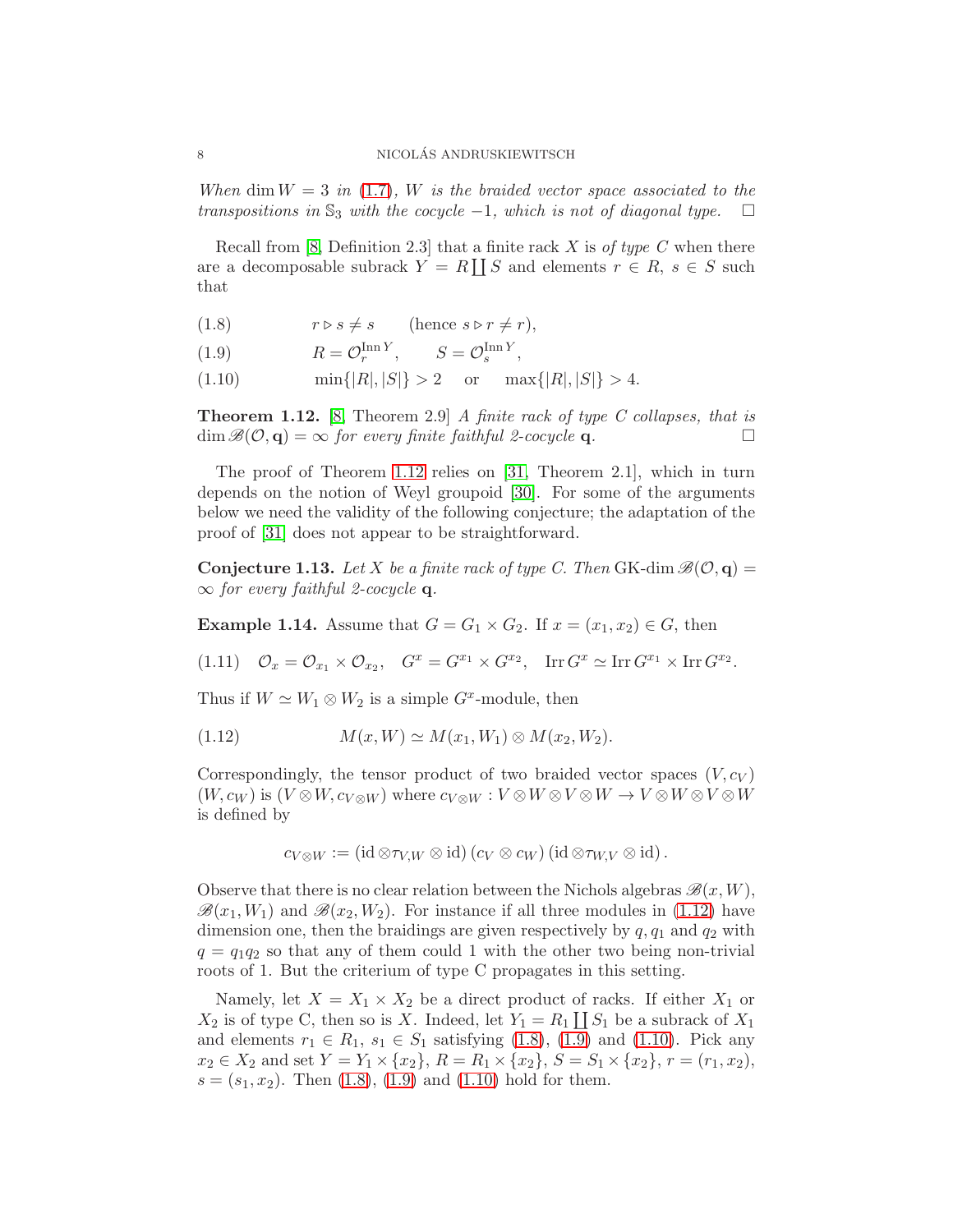When dim  $W = 3$  in [\(1.7\)](#page-6-0), W is the braided vector space associated to the transpositions in  $\mathbb{S}_3$  with the cocycle -1, which is not of diagonal type.  $\Box$ 

Recall from [\[8,](#page-24-8) Definition 2.3] that a finite rack  $X$  is of type  $C$  when there are a decomposable subrack  $Y = R \coprod S$  and elements  $r \in R$ ,  $s \in S$  such that

- <span id="page-7-3"></span>(1.8)  $r \triangleright s \neq s$  (hence  $s \triangleright r \neq r$ ),
- <span id="page-7-4"></span>(1.9)  $R = \mathcal{O}_r^{\text{Inn } Y}, \qquad S = \mathcal{O}_s^{\text{Inn } Y},$
- <span id="page-7-5"></span>(1.10)  $\min\{|R|, |S|\} > 2$  or  $\max\{|R|, |S|\} > 4$ .

<span id="page-7-1"></span>**Theorem 1.12.** [\[8,](#page-24-8) Theorem 2.9] A finite rack of type C collapses, that is  $\dim \mathscr{B}(\mathcal{O}, \mathbf{q}) = \infty$  for every finite faithful 2-cocycle **q**.

The proof of Theorem [1.12](#page-7-1) relies on [\[31,](#page-25-6) Theorem 2.1], which in turn depends on the notion of Weyl groupoid [\[30\]](#page-25-5). For some of the arguments below we need the validity of the following conjecture; the adaptation of the proof of [\[31\]](#page-25-6) does not appear to be straightforward.

<span id="page-7-0"></span>**Conjecture 1.13.** Let X be a finite rack of type C. Then GK-dim  $\mathscr{B}(\mathcal{O}, \mathbf{q}) =$  $\infty$  for every faithful 2-cocycle **q**.

<span id="page-7-6"></span>**Example 1.14.** Assume that  $G = G_1 \times G_2$ . If  $x = (x_1, x_2) \in G$ , then

 $(1.11)$   $\mathcal{O}_x = \mathcal{O}_{x_1} \times \mathcal{O}_{x_2},$   $G^x = G^{x_1} \times G^{x_2},$   $\text{Irr } G^x \simeq \text{Irr } G^{x_1} \times \text{Irr } G^{x_2}.$ 

Thus if  $W \simeq W_1 \otimes W_2$  is a simple  $G^x$ -module, then

<span id="page-7-2"></span>(1.12) 
$$
M(x, W) \simeq M(x_1, W_1) \otimes M(x_2, W_2).
$$

Correspondingly, the tensor product of two braided vector spaces  $(V, c_V)$  $(W, c_W)$  is  $(V \otimes W, c_{V \otimes W})$  where  $c_{V \otimes W} : V \otimes W \otimes V \otimes W \to V \otimes W \otimes V \otimes W$ is defined by

$$
c_{V\otimes W}:=\left(\text{id}\otimes\tau_{V,W}\otimes\text{id}\right)\left(c_{V}\otimes c_{W}\right)\left(\text{id}\otimes\tau_{W,V}\otimes\text{id}\right).
$$

Observe that there is no clear relation between the Nichols algebras  $\mathscr{B}(x, W)$ ,  $\mathscr{B}(x_1, W_1)$  and  $\mathscr{B}(x_2, W_2)$ . For instance if all three modules in [\(1.12\)](#page-7-2) have dimension one, then the braidings are given respectively by  $q, q_1$  and  $q_2$  with  $q = q_1q_2$  so that any of them could 1 with the other two being non-trivial roots of 1. But the criterium of type C propagates in this setting.

Namely, let  $X = X_1 \times X_2$  be a direct product of racks. If either  $X_1$  or  $X_2$  is of type C, then so is X. Indeed, let  $Y_1 = R_1 \coprod S_1$  be a subrack of  $X_1$ and elements  $r_1 \in R_1$ ,  $s_1 \in S_1$  satisfying [\(1.8\)](#page-7-3), [\(1.9\)](#page-7-4) and [\(1.10\)](#page-7-5). Pick any  $x_2 \in X_2$  and set  $Y = Y_1 \times \{x_2\}, R = R_1 \times \{x_2\}, S = S_1 \times \{x_2\}, r = (r_1, x_2),$  $s = (s_1, x_2)$ . Then  $(1.8), (1.9)$  $(1.8), (1.9)$  and  $(1.10)$  hold for them.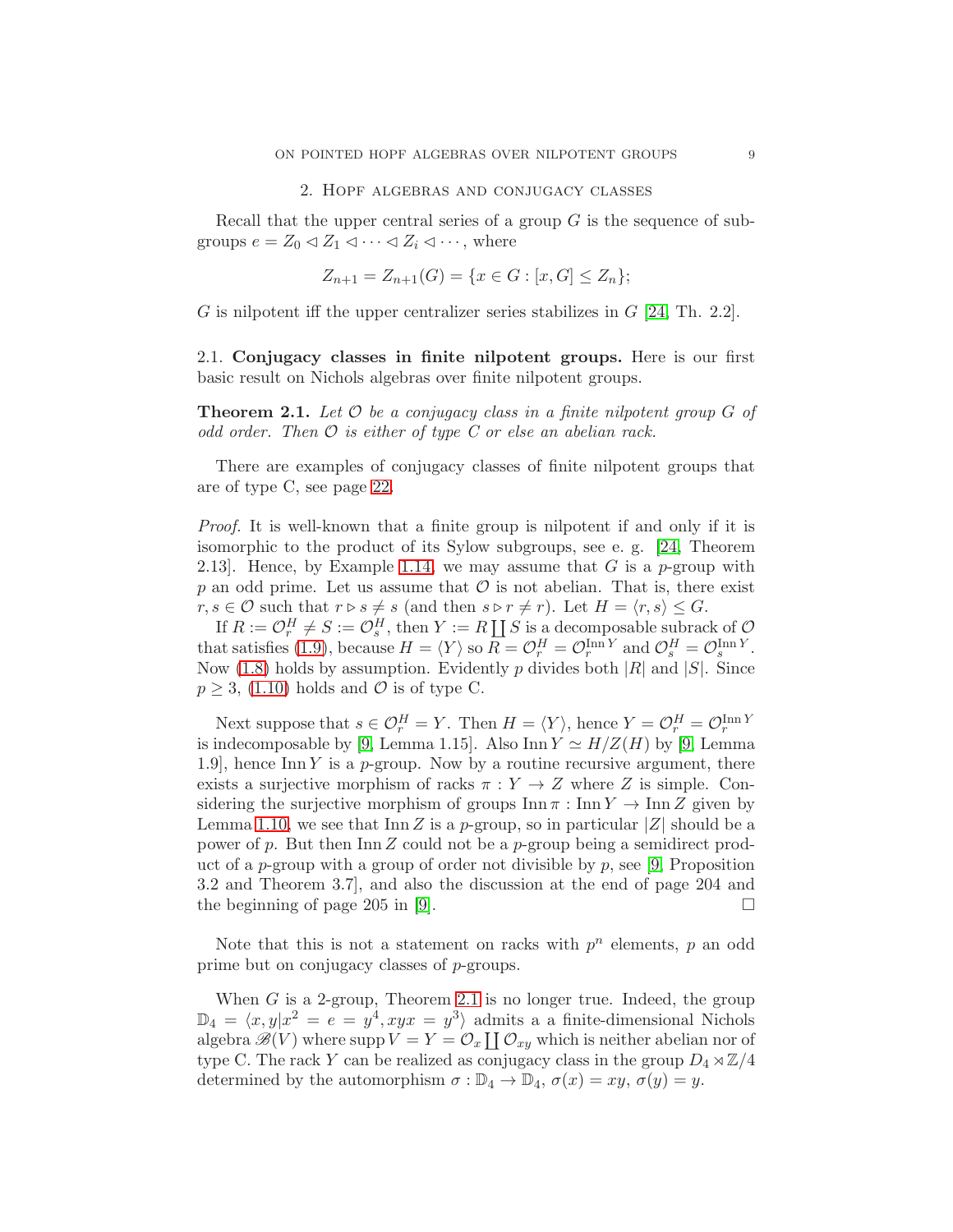#### 2. Hopf algebras and conjugacy classes

<span id="page-8-1"></span>Recall that the upper central series of a group  $G$  is the sequence of subgroups  $e = Z_0 \triangleleft Z_1 \triangleleft \cdots \triangleleft Z_i \triangleleft \cdots$ , where

$$
Z_{n+1} = Z_{n+1}(G) = \{x \in G : [x, G] \le Z_n\};
$$

G is nilpotent iff the upper centralizer series stabilizes in  $G$  [\[24,](#page-24-15) Th. 2.2].

2.1. Conjugacy classes in finite nilpotent groups. Here is our first basic result on Nichols algebras over finite nilpotent groups.

<span id="page-8-0"></span>**Theorem 2.1.** Let  $\mathcal O$  be a conjugacy class in a finite nilpotent group  $G$  of odd order. Then  $\mathcal O$  is either of type C or else an abelian rack.

There are examples of conjugacy classes of finite nilpotent groups that are of type C, see page [22.](#page-21-0)

Proof. It is well-known that a finite group is nilpotent if and only if it is isomorphic to the product of its Sylow subgroups, see e. g. [\[24,](#page-24-15) Theorem 2.13. Hence, by Example [1.14,](#page-7-6) we may assume that G is a p-group with p an odd prime. Let us assume that  $\mathcal O$  is not abelian. That is, there exist  $r, s \in \mathcal{O}$  such that  $r \triangleright s \neq s$  (and then  $s \triangleright r \neq r$ ). Let  $H = \langle r, s \rangle \leq G$ .

If  $R := \mathcal{O}_r^H \neq S := \mathcal{O}_s^H$ , then  $Y := R \coprod S$  is a decomposable subrack of  $\mathcal{O}_s$ that satisfies [\(1.9\)](#page-7-4), because  $H = \langle Y \rangle$  so  $R = \mathcal{O}_r^H = \mathcal{O}_r^{\text{Inn } Y}$  and  $\mathcal{O}_s^H = \mathcal{O}_s^{\text{Inn } Y}$ . Now [\(1.8\)](#page-7-3) holds by assumption. Evidently p divides both  $|R|$  and  $|S|$ . Since  $p \geq 3$ , [\(1.10\)](#page-7-5) holds and  $\mathcal{O}$  is of type C.

Next suppose that  $s \in \mathcal{O}_r^H = Y$ . Then  $H = \langle Y \rangle$ , hence  $Y = \mathcal{O}_r^H = \mathcal{O}_r^{\text{Inn }Y}$ is indecomposable by [\[9,](#page-24-14) Lemma 1.15]. Also Inn  $Y \simeq H/Z(H)$  by [9, Lemma 1.9], hence Inn Y is a p-group. Now by a routine recursive argument, there exists a surjective morphism of racks  $\pi : Y \to Z$  where Z is simple. Considering the surjective morphism of groups  $\text{Inn } \pi : \text{Inn } Y \to \text{Inn } Z$  given by Lemma [1.10,](#page-6-1) we see that  $\text{Inn } Z$  is a p-group, so in particular  $|Z|$  should be a power of p. But then  $\text{In } \mathbb{Z}$  could not be a p-group being a semidirect product of a p-group with a group of order not divisible by  $p$ , see [\[9,](#page-24-14) Proposition 3.2 and Theorem 3.7], and also the discussion at the end of page 204 and the beginning of page 205 in [\[9\]](#page-24-14).  $\Box$ 

Note that this is not a statement on racks with  $p^n$  elements,  $p$  an odd prime but on conjugacy classes of p-groups.

When  $G$  is a 2-group, Theorem [2.1](#page-8-0) is no longer true. Indeed, the group  $\mathbb{D}_4 = \langle x, y | x^2 = e = y^4, x y x = y^3 \rangle$  admits a a finite-dimensional Nichols algebra  $\mathscr{B}(V)$  where supp  $V = Y = \mathcal{O}_x \coprod \mathcal{O}_{xy}$  which is neither abelian nor of type C. The rack Y can be realized as conjugacy class in the group  $D_4 \rtimes \mathbb{Z}/4$ determined by the automorphism  $\sigma : \mathbb{D}_4 \to \mathbb{D}_4$ ,  $\sigma(x) = xy$ ,  $\sigma(y) = y$ .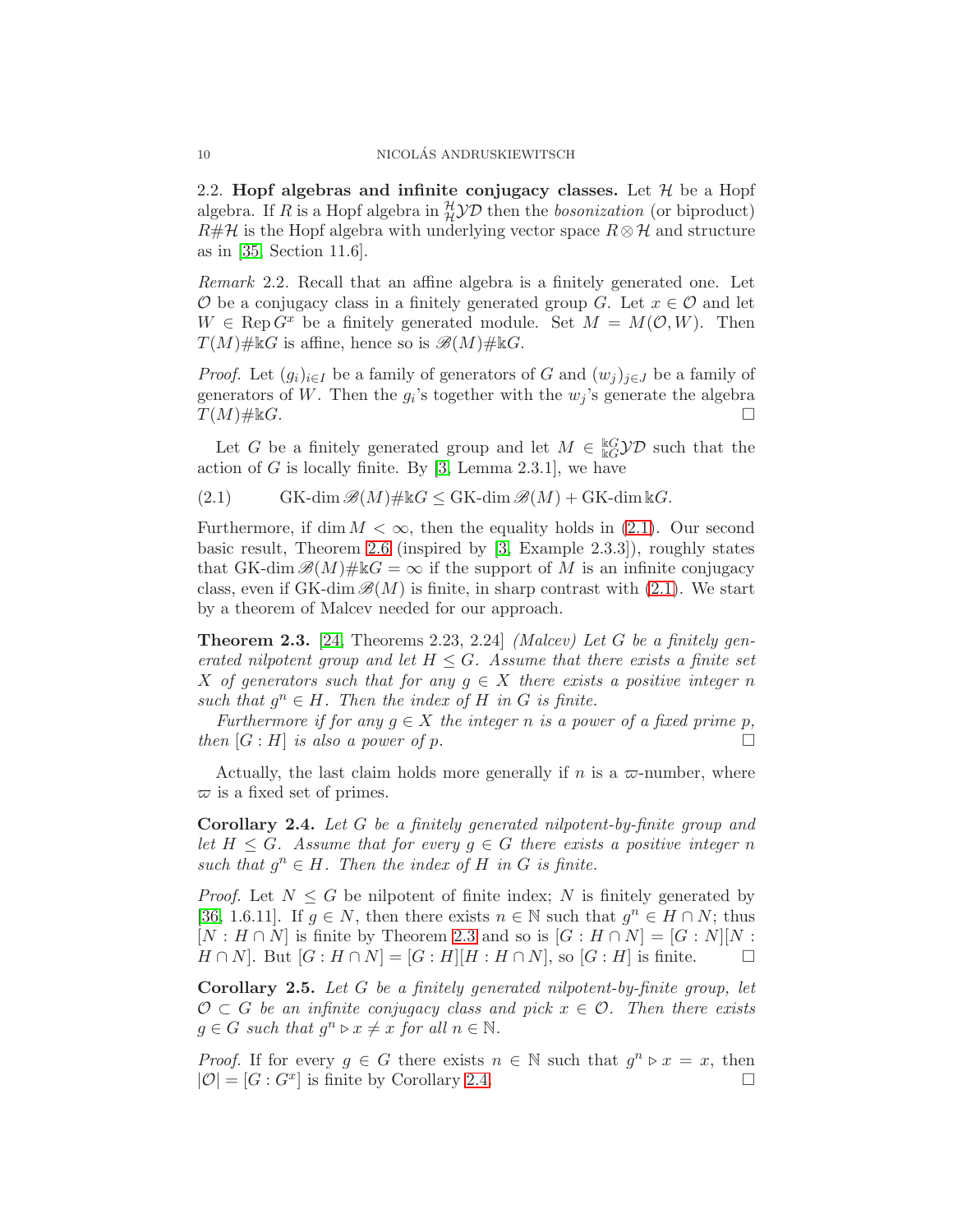2.2. Hopf algebras and infinite conjugacy classes. Let  $\mathcal H$  be a Hopf algebra. If R is a Hopf algebra in  $^{\mathcal{H}}_{\mathcal{H}}\mathcal{YD}$  then the *bosonization* (or biproduct)  $R\#\mathcal{H}$  is the Hopf algebra with underlying vector space  $R\otimes\mathcal{H}$  and structure as in [\[35,](#page-25-3) Section 11.6].

Remark 2.2. Recall that an affine algebra is a finitely generated one. Let  $\mathcal O$  be a conjugacy class in a finitely generated group G. Let  $x \in \mathcal O$  and let  $W \in \text{Rep } G^x$  be a finitely generated module. Set  $M = M(\mathcal{O}, W)$ . Then  $T(M)\# \& G$  is affine, hence so is  $\mathscr{B}(M)\# \& G$ .

*Proof.* Let  $(g_i)_{i\in I}$  be a family of generators of G and  $(w_j)_{j\in J}$  be a family of generators of W. Then the  $g_i$ 's together with the  $w_j$ 's generate the algebra  $T(M)\# \Bbbk G$ .

Let G be a finitely generated group and let  $M \in \frac{\mathbb{k}G}{\mathbb{k}G}$  such that the action of G is locally finite. By  $[3, \text{Lemma } 2.3.1]$ , we have

<span id="page-9-0"></span>(2.1) 
$$
\text{GK-dim}\,\mathscr{B}(M)\#\Bbbk G\leq\text{GK-dim}\,\mathscr{B}(M)+\text{GK-dim}\,\Bbbk G.
$$

Furthermore, if dim  $M < \infty$ , then the equality holds in [\(2.1\)](#page-9-0). Our second basic result, Theorem [2.6](#page-10-0) (inspired by [\[3,](#page-24-3) Example 2.3.3]), roughly states that GK-dim  $\mathscr{B}(M)\# \Bbbk G = \infty$  if the support of M is an infinite conjugacy class, even if GK-dim  $\mathscr{B}(M)$  is finite, in sharp contrast with [\(2.1\)](#page-9-0). We start by a theorem of Malcev needed for our approach.

<span id="page-9-1"></span>**Theorem 2.3.** [\[24,](#page-24-15) Theorems 2.23, 2.24] *(Malcev)* Let G be a finitely generated nilpotent group and let  $H \leq G$ . Assume that there exists a finite set X of generators such that for any  $q \in X$  there exists a positive integer n such that  $g^n \in H$ . Then the index of H in G is finite.

Furthermore if for any  $q \in X$  the integer n is a power of a fixed prime p, then  $[G : H]$  is also a power of p.

Actually, the last claim holds more generally if n is a  $\varpi$ -number, where  $\varpi$  is a fixed set of primes.

<span id="page-9-2"></span>Corollary 2.4. Let G be a finitely generated nilpotent-by-finite group and let  $H \leq G$ . Assume that for every  $g \in G$  there exists a positive integer n such that  $g^n \in H$ . Then the index of H in G is finite.

*Proof.* Let  $N \leq G$  be nilpotent of finite index; N is finitely generated by [\[36,](#page-25-7) 1.6.11]. If  $g \in N$ , then there exists  $n \in \mathbb{N}$  such that  $g^n \in H \cap N$ ; thus  $[N : H \cap N]$  is finite by Theorem [2.3](#page-9-1) and so is  $[G : H \cap N] = [G : N][N]$ :  $H \cap N$ . But  $[G : H \cap N] = [G : H][H : H \cap N]$ , so  $[G : H]$  is finite.

<span id="page-9-3"></span>Corollary 2.5. Let G be a finitely generated nilpotent-by-finite group, let  $\mathcal{O} \subset G$  be an infinite conjugacy class and pick  $x \in \mathcal{O}$ . Then there exists  $g \in G$  such that  $g^n \triangleright x \neq x$  for all  $n \in \mathbb{N}$ .

*Proof.* If for every  $g \in G$  there exists  $n \in \mathbb{N}$  such that  $g^n \triangleright x = x$ , then  $|\mathcal{O}| = [G : G^x]$  is finite by Corollary [2.4.](#page-9-2)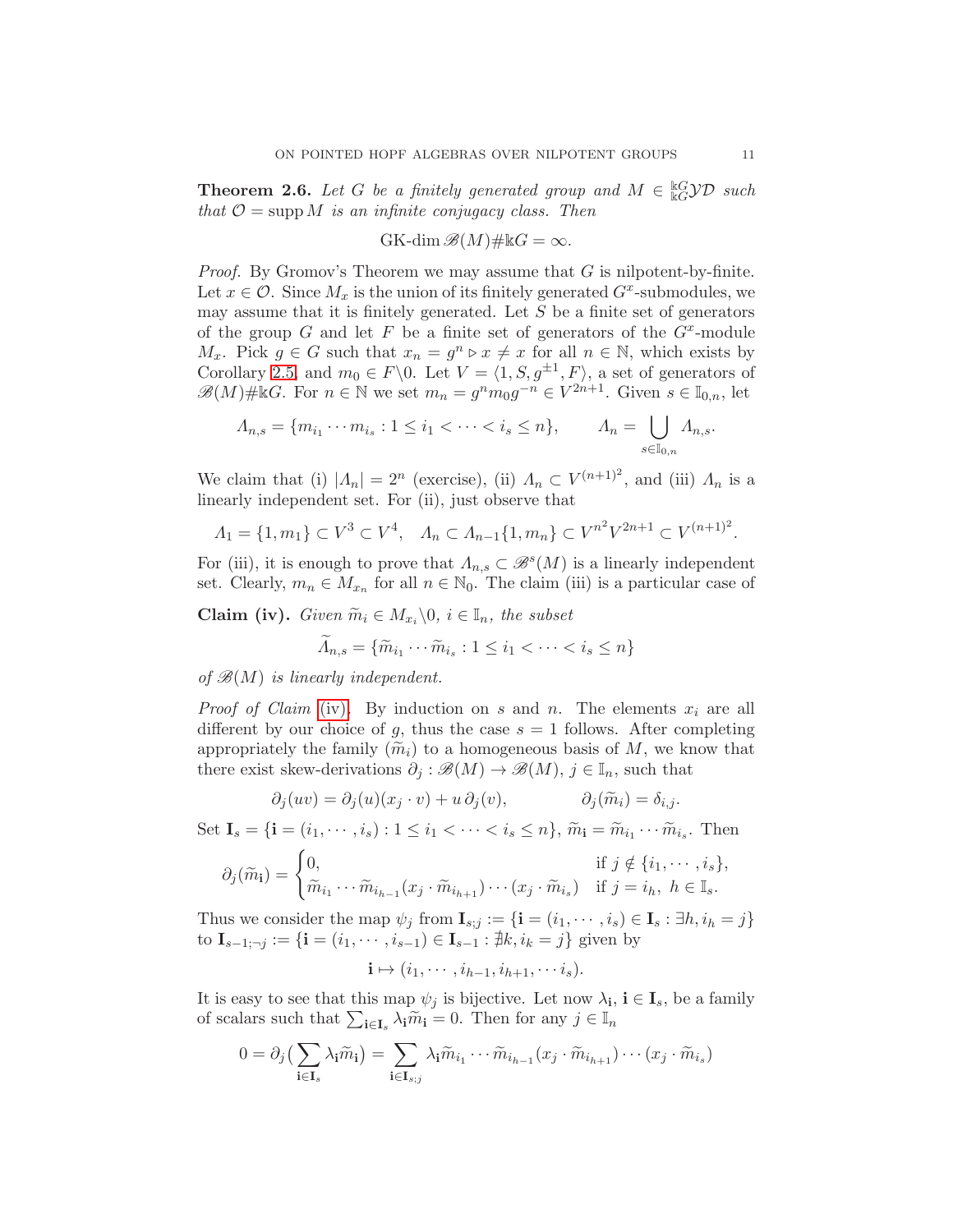<span id="page-10-0"></span>**Theorem 2.6.** Let G be a finitely generated group and  $M \in \frac{\mathbb{k}G}{\mathbb{k}G} \mathcal{YD}$  such that  $\mathcal{O} = \text{supp } M$  is an infinite conjugacy class. Then

$$
GK\text{-dim}\,\mathscr{B}(M)\#kG=\infty.
$$

*Proof.* By Gromov's Theorem we may assume that  $G$  is nilpotent-by-finite. Let  $x \in \mathcal{O}$ . Since  $M_x$  is the union of its finitely generated  $G^x$ -submodules, we may assume that it is finitely generated. Let  $S$  be a finite set of generators of the group  $G$  and let  $F$  be a finite set of generators of the  $G^x$ -module  $M_x$ . Pick  $g \in G$  such that  $x_n = g^n \triangleright x \neq x$  for all  $n \in \mathbb{N}$ , which exists by Corollary [2.5,](#page-9-3) and  $m_0 \in F \backslash 0$ . Let  $V = \langle 1, S, g^{\pm 1}, F \rangle$ , a set of generators of  $\mathscr{B}(M)\# \& G$ . For  $n \in \mathbb{N}$  we set  $m_n = g^n m_0 g^{-n} \in V^{2n+1}$ . Given  $s \in \mathbb{I}_{0,n}$ , let

$$
\Lambda_{n,s} = \{ m_{i_1} \cdots m_{i_s} : 1 \le i_1 < \cdots < i_s \le n \}, \qquad \Lambda_n = \bigcup_{s \in \mathbb{I}_{0,n}} \Lambda_{n,s}.
$$

We claim that (i)  $|A_n| = 2^n$  (exercise), (ii)  $A_n \subset V^{(n+1)^2}$ , and (iii)  $A_n$  is a linearly independent set. For (ii), just observe that

$$
\Lambda_1 = \{1, m_1\} \subset V^3 \subset V^4, \quad \Lambda_n \subset \Lambda_{n-1} \{1, m_n\} \subset V^{n^2} V^{2n+1} \subset V^{(n+1)^2}.
$$

For (iii), it is enough to prove that  $\Lambda_{n,s} \subset \mathcal{B}^s(M)$  is a linearly independent set. Clearly,  $m_n \in M_{x_n}$  for all  $n \in \mathbb{N}_0$ . The claim (iii) is a particular case of

<span id="page-10-1"></span>**Claim (iv).** Given  $\widetilde{m}_i \in M_{x_i} \backslash 0$ ,  $i \in \mathbb{I}_n$ , the subset

$$
\widetilde{\Lambda}_{n,s} = \{ \widetilde{m}_{i_1} \cdots \widetilde{m}_{i_s} : 1 \le i_1 < \cdots < i_s \le n \}
$$

of  $\mathcal{B}(M)$  is linearly independent.

*Proof of Claim* [\(iv\)](#page-10-1). By induction on s and n. The elements  $x_i$  are all different by our choice of g, thus the case  $s = 1$  follows. After completing appropriately the family  $(\widetilde{m}_i)$  to a homogeneous basis of M, we know that there exist skew-derivations  $\partial_j : \mathscr{B}(M) \to \mathscr{B}(M)$ ,  $j \in \mathbb{I}_n$ , such that

$$
\partial_j(uv) = \partial_j(u)(x_j \cdot v) + u \partial_j(v), \qquad \partial_j(\widetilde{m}_i) = \delta_{i,j}.
$$

Set  $\mathbf{I}_s = \{ \mathbf{i} = (i_1, \dots, i_s) : 1 \leq i_1 < \dots < i_s \leq n \}, \tilde{m}_{\mathbf{i}} = \tilde{m}_{i_1} \dots \tilde{m}_{i_s}.$  Then

$$
\partial_j(\widetilde{m}_i) = \begin{cases} 0, & \text{if } j \notin \{i_1, \dots, i_s\}, \\ \widetilde{m}_{i_1} \dots \widetilde{m}_{i_{h-1}}(x_j \cdot \widetilde{m}_{i_{h+1}}) \dots (x_j \cdot \widetilde{m}_{i_s}) & \text{if } j = i_h, \ h \in \mathbb{I}_s. \end{cases}
$$

Thus we consider the map  $\psi_j$  from  $\mathbf{I}_{s;j} := \{ \mathbf{i} = (i_1, \dots, i_s) \in \mathbf{I}_s : \exists h, i_h = j \}$ to  $\mathbf{I}_{s-1;¬j} := \{ \mathbf{i} = (i_1, · · · , i_{s-1}) \in \mathbf{I}_{s-1} : \nexists k, i_k = j \}$  given by

$$
\mathbf{i} \mapsto (i_1, \cdots, i_{h-1}, i_{h+1}, \cdots i_s).
$$

It is easy to see that this map  $\psi_j$  is bijective. Let now  $\lambda_i$ ,  $i \in I_s$ , be a family of scalars such that  $\sum_{\mathbf{i} \in \mathbf{I}_s} \lambda_{\mathbf{i}} \tilde{m}_{\mathbf{i}} = 0$ . Then for any  $j \in \mathbb{I}_n$ 

$$
0 = \partial_j \left( \sum_{\mathbf{i} \in \mathbf{I}_s} \lambda_{\mathbf{i}} \widetilde{m}_{\mathbf{i}} \right) = \sum_{\mathbf{i} \in \mathbf{I}_{s;j}} \lambda_{\mathbf{i}} \widetilde{m}_{i_1} \cdots \widetilde{m}_{i_{h-1}} (x_j \cdot \widetilde{m}_{i_{h+1}}) \cdots (x_j \cdot \widetilde{m}_{i_s})
$$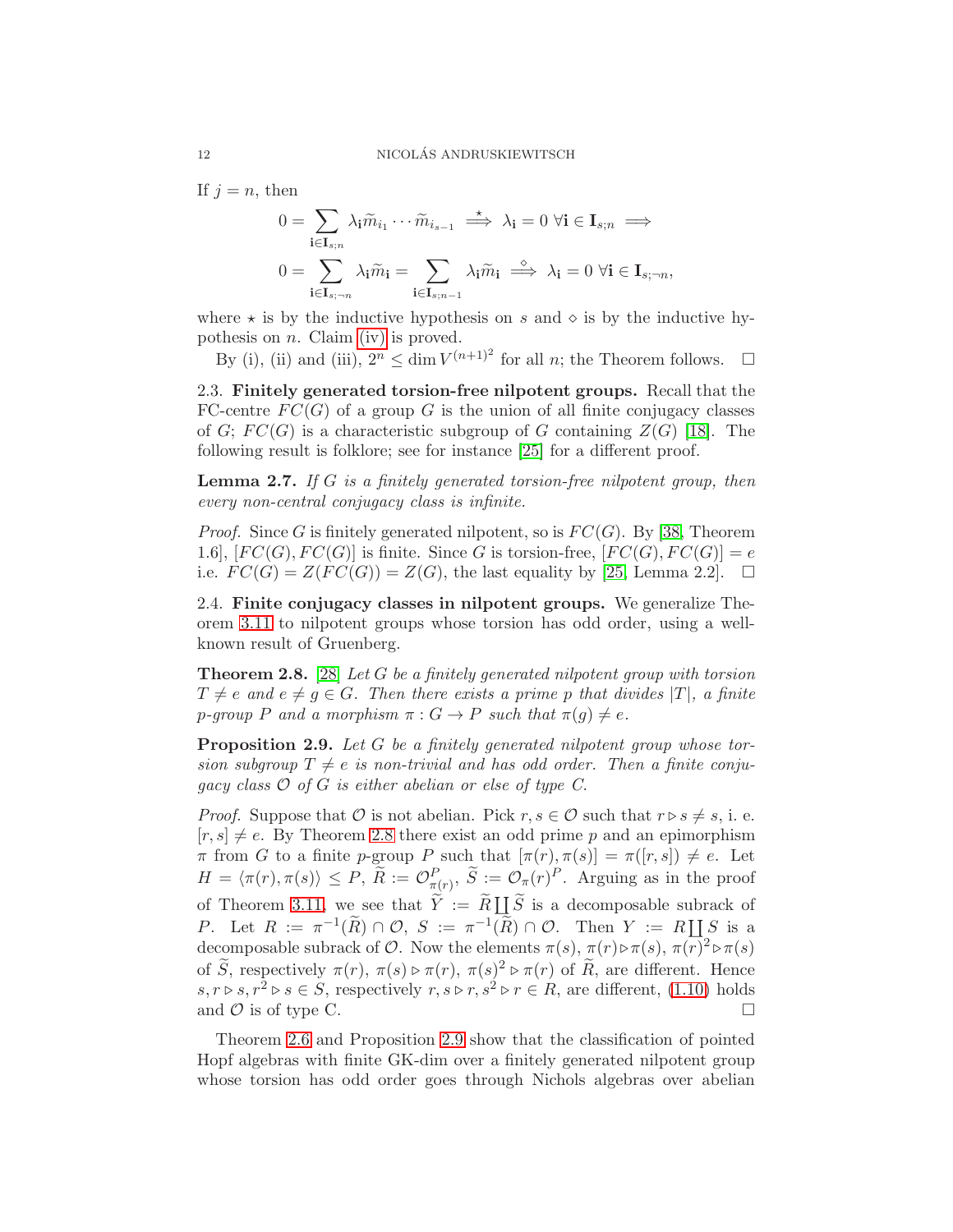If  $i = n$ , then

$$
0 = \sum_{\mathbf{i} \in \mathbf{I}_{s;n}} \lambda_{\mathbf{i}} \widetilde{m}_{i_1} \cdots \widetilde{m}_{i_{s-1}} \stackrel{*}{\implies} \lambda_{\mathbf{i}} = 0 \ \forall \mathbf{i} \in \mathbf{I}_{s;n} \implies
$$

$$
0 = \sum_{\mathbf{i} \in \mathbf{I}_{s;n}} \lambda_{\mathbf{i}} \widetilde{m}_{\mathbf{i}} = \sum_{\mathbf{i} \in \mathbf{I}_{s;n-1}} \lambda_{\mathbf{i}} \widetilde{m}_{\mathbf{i}} \stackrel{\circ}{\implies} \lambda_{\mathbf{i}} = 0 \ \forall \mathbf{i} \in \mathbf{I}_{s;-n},
$$

where  $\star$  is by the inductive hypothesis on s and  $\diamond$  is by the inductive hypothesis on  $n$ . Claim [\(iv\)](#page-10-1) is proved.

By (i), (ii) and (iii),  $2^n \n\t\leq \dim V^{(n+1)^2}$  for all n; the Theorem follows.  $\square$ 

2.3. Finitely generated torsion-free nilpotent groups. Recall that the FC-centre  $FC(G)$  of a group G is the union of all finite conjugacy classes of G;  $FC(G)$  is a characteristic subgroup of G containing  $Z(G)$  [\[18\]](#page-24-16). The following result is folklore; see for instance [\[25\]](#page-24-17) for a different proof.

<span id="page-11-1"></span>**Lemma 2.7.** If  $G$  is a finitely generated torsion-free nilpotent group, then every non-central conjugacy class is infinite.

*Proof.* Since G is finitely generated nilpotent, so is  $FC(G)$ . By [\[38,](#page-25-8) Theorem 1.6],  $[FC(G), FC(G)]$  is finite. Since G is torsion-free,  $[FC(G), FC(G)] = e$ i.e.  $FC(G) = Z(FC(G)) = Z(G)$ , the last equality by [\[25,](#page-24-17) Lemma 2.2].  $\square$ 

2.4. Finite conjugacy classes in nilpotent groups. We generalize Theorem [3.11](#page-17-0) to nilpotent groups whose torsion has odd order, using a wellknown result of Gruenberg.

<span id="page-11-2"></span>**Theorem 2.8.** [\[28\]](#page-25-9) Let G be a finitely generated nilpotent group with torsion  $T \neq e$  and  $e \neq q \in G$ . Then there exists a prime p that divides  $|T|$ , a finite p-group P and a morphism  $\pi: G \to P$  such that  $\pi(q) \neq e$ .

<span id="page-11-0"></span>Proposition 2.9. Let G be a finitely generated nilpotent group whose torsion subgroup  $T \neq e$  is non-trivial and has odd order. Then a finite conjugacy class  $\mathcal O$  of G is either abelian or else of type C.

*Proof.* Suppose that  $\emptyset$  is not abelian. Pick  $r, s \in \mathcal{O}$  such that  $r \triangleright s \neq s$ , i. e.  $[r, s] \neq e$ . By Theorem [2.8](#page-11-2) there exist an odd prime p and an epimorphism  $\pi$  from G to a finite p-group P such that  $[\pi(r), \pi(s)] = \pi([r, s]) \neq e$ . Let  $H = \langle \pi(r), \pi(s) \rangle \leq P, \ \widetilde{R} := \mathcal{O}_{\pi(r)}^P, \ \widetilde{S} := \mathcal{O}_{\pi}(r)^P.$  Arguing as in the proof of Theorem [3.11,](#page-17-0) we see that  $\widetilde{Y} := \widetilde{R} \coprod_{\alpha} \widetilde{S}$  is a decomposable subrack of P. Let  $R := \pi^{-1}(\widetilde{R}) \cap \mathcal{O}, S := \pi^{-1}(\widetilde{R}) \cap \mathcal{O}$ . Then  $Y := R \coprod_{i=1}^n S$  is a decomposable subrack of  $\mathcal O$ . Now the elements  $\pi(s)$ ,  $\pi(r) \triangleright \pi(s)$ ,  $\pi(r)^2 \triangleright \pi(s)$ of S, respectively  $\pi(r)$ ,  $\pi(s) \triangleright \pi(r)$ ,  $\pi(s)^2 \triangleright \pi(r)$  of R, are different. Hence  $s, r \triangleright s, r^2 \triangleright s \in S$ , respectively  $r, s \triangleright r, s^2 \triangleright r \in R$ , are different, [\(1.10\)](#page-7-5) holds and  $\mathcal O$  is of type C.

Theorem [2.6](#page-10-0) and Proposition [2.9](#page-11-0) show that the classification of pointed Hopf algebras with finite GK-dim over a finitely generated nilpotent group whose torsion has odd order goes through Nichols algebras over abelian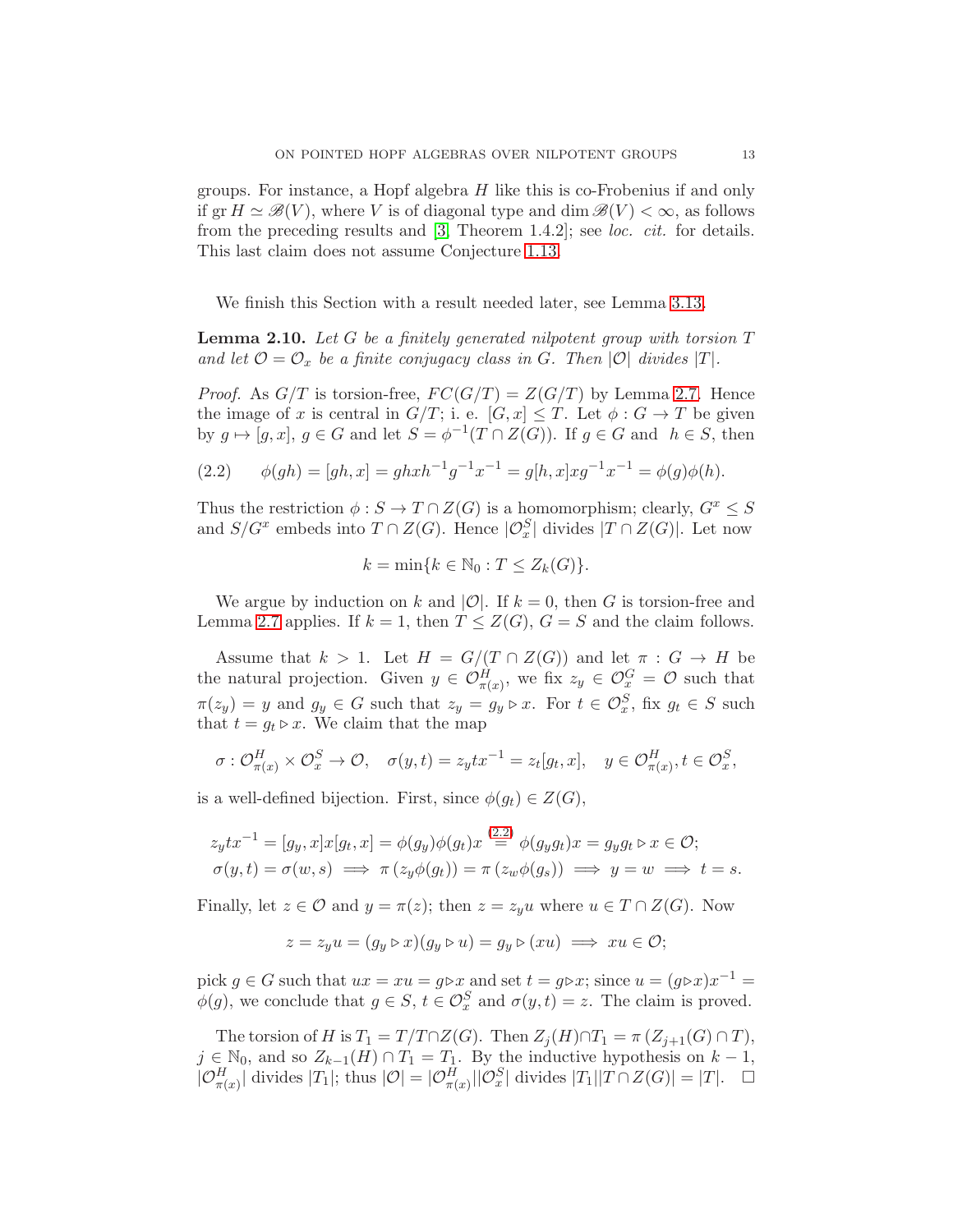groups. For instance, a Hopf algebra H like this is co-Frobenius if and only if  $\operatorname{gr} H \simeq \mathscr{B}(V)$ , where V is of diagonal type and  $\dim \mathscr{B}(V) < \infty$ , as follows from the preceding results and [\[3,](#page-24-3) Theorem 1.4.2]; see loc. cit. for details. This last claim does not assume Conjecture [1.13.](#page-7-0)

We finish this Section with a result needed later, see Lemma [3.13.](#page-19-0)

<span id="page-12-0"></span>**Lemma 2.10.** Let G be a finitely generated nilpotent group with torsion  $T$ and let  $\mathcal{O} = \mathcal{O}_x$  be a finite conjugacy class in G. Then  $|\mathcal{O}|$  divides  $|T|$ .

*Proof.* As  $G/T$  is torsion-free,  $FC(G/T) = Z(G/T)$  by Lemma [2.7.](#page-11-1) Hence the image of x is central in  $G/T$ ; i. e.  $[G, x] \leq T$ . Let  $\phi : G \to T$  be given by  $g \mapsto [g, x], g \in G$  and let  $S = \phi^{-1}(T \cap Z(G))$ . If  $g \in G$  and  $h \in S$ , then

<span id="page-12-1"></span>(2.2) 
$$
\phi(gh) = [gh, x] = ghxh^{-1}g^{-1}x^{-1} = g[h, x]xg^{-1}x^{-1} = \phi(g)\phi(h).
$$

Thus the restriction  $\phi : S \to T \cap Z(G)$  is a homomorphism; clearly,  $G^x \leq S$ and  $S/G^x$  embeds into  $T \cap Z(G)$ . Hence  $|\mathcal{O}_x^S|$  divides  $|T \cap Z(G)|$ . Let now

$$
k = \min\{k \in \mathbb{N}_0 : T \le Z_k(G)\}.
$$

We argue by induction on k and |O|. If  $k = 0$ , then G is torsion-free and Lemma [2.7](#page-11-1) applies. If  $k = 1$ , then  $T \leq Z(G)$ ,  $G = S$  and the claim follows.

Assume that  $k > 1$ . Let  $H = G/(T \cap Z(G))$  and let  $\pi : G \to H$  be the natural projection. Given  $y \in \mathcal{O}_{\pi(x)}^H$ , we fix  $z_y \in \mathcal{O}_x^G = \mathcal{O}$  such that  $\pi(z_y) = y$  and  $g_y \in G$  such that  $z_y = g_y \triangleright x$ . For  $t \in \mathcal{O}_x^S$ , fix  $g_t \in S$  such that  $t = g_t \triangleright x$ . We claim that the map

$$
\sigma: \mathcal{O}_{\pi(x)}^H \times \mathcal{O}_x^S \to \mathcal{O}, \quad \sigma(y, t) = z_y t x^{-1} = z_t [g_t, x], \quad y \in \mathcal{O}_{\pi(x)}^H, t \in \mathcal{O}_x^S,
$$

is a well-defined bijection. First, since  $\phi(g_t) \in Z(G)$ ,

$$
z_ytx^{-1} = [g_y, x]x[g_t, x] = \phi(g_y)\phi(g_t)x \stackrel{(2.2)}{=} \phi(g_yg_t)x = g_yg_t \triangleright x \in \mathcal{O};
$$
  
\n
$$
\sigma(y, t) = \sigma(w, s) \implies \pi(z_y\phi(g_t)) = \pi(z_w\phi(g_s)) \implies y = w \implies t = s.
$$

Finally, let  $z \in \mathcal{O}$  and  $y = \pi(z)$ ; then  $z = z_y u$  where  $u \in T \cap Z(G)$ . Now

$$
z = z_y u = (g_y \triangleright x)(g_y \triangleright u) = g_y \triangleright (xu) \implies xu \in \mathcal{O};
$$

pick  $g \in G$  such that  $ux = xu = g\triangleright x$  and set  $t = g\triangleright x$ ; since  $u = (g\triangleright x)x^{-1} = g(x)g(x)$  $\phi(g)$ , we conclude that  $g \in S$ ,  $t \in \mathcal{O}_x^S$  and  $\sigma(y, t) = z$ . The claim is proved.

The torsion of H is  $T_1 = T/T \cap Z(G)$ . Then  $Z_j(H) \cap T_1 = \pi (Z_{j+1}(G) \cap T)$ ,  $j \in \mathbb{N}_0$ , and so  $Z_{k-1}(H) \cap T_1 = T_1$ . By the inductive hypothesis on  $k-1$ ,  $|\mathcal{O}_{\pi(x)}^H|$  divides  $|T_1|$ ; thus  $|\mathcal{O}| = |\mathcal{O}_{\pi(x)}^H| |\mathcal{O}_x^S|$  divides  $|T_1||T \cap Z(G)| = |T|$ .  $\Box$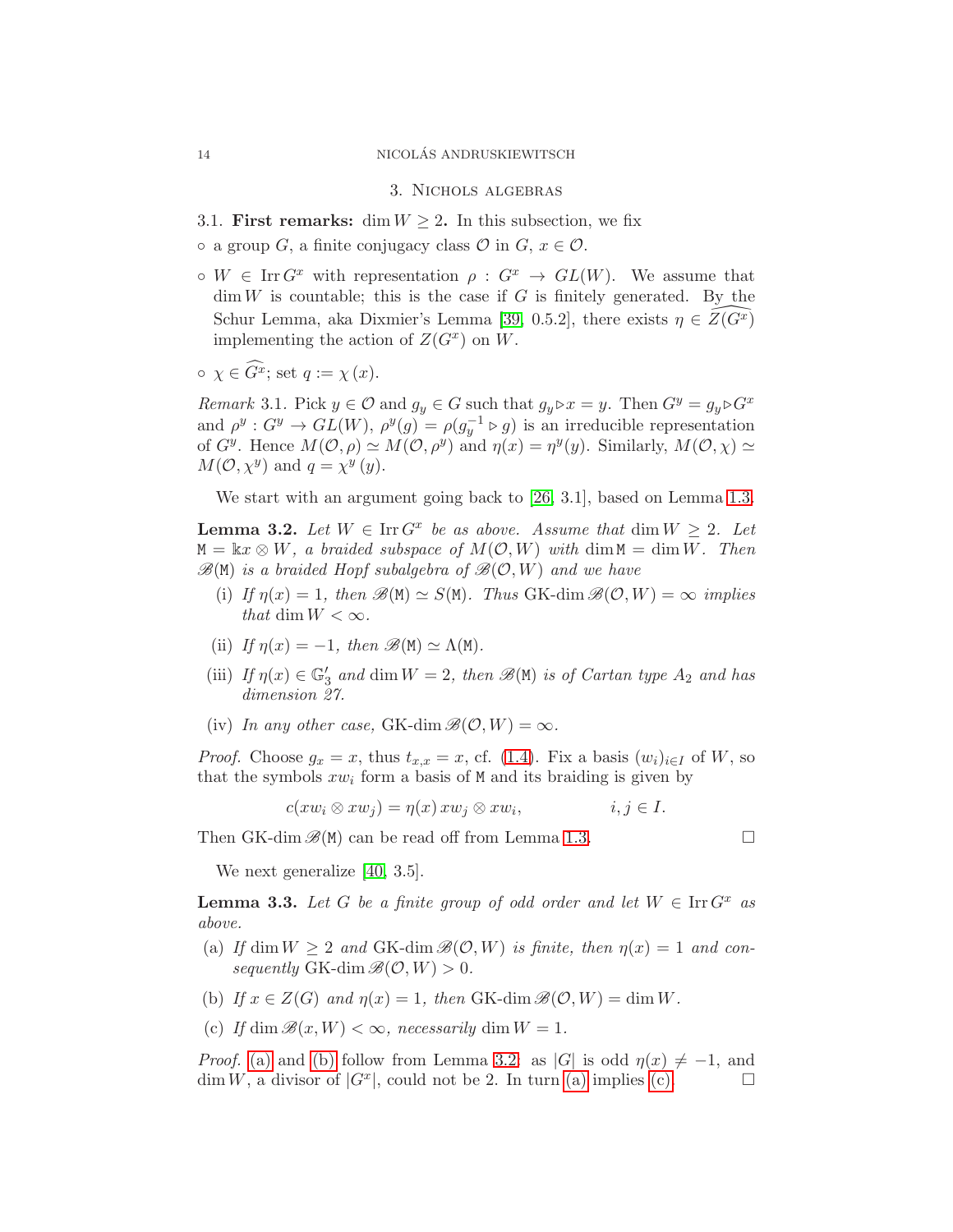#### <span id="page-13-0"></span>14 NICOLAS ANDRUSKIEWITSCH ´

3. Nichols algebras

- <span id="page-13-5"></span>3.1. First remarks: dim  $W \geq 2$ . In this subsection, we fix
- $\circ$  a group G, a finite conjugacy class  $\mathcal O$  in G,  $x \in \mathcal O$ .
- $\circ W \in \text{Irr } G^x$  with representation  $\rho : G^x \to GL(W)$ . We assume that  $\dim W$  is countable; this is the case if G is finitely generated. By the Schur Lemma, aka Dixmier's Lemma [\[39,](#page-25-10) 0.5.2], there exists  $\eta \in \overline{Z(G^x)}$ implementing the action of  $Z(G^x)$  on W.
- $\circ \ \chi \in \widehat{G}^x$ ; set  $q := \chi(x)$ .

Remark 3.1. Pick  $y \in \mathcal{O}$  and  $g_y \in G$  such that  $g_y \triangleright x = y$ . Then  $G^y = g_y \triangleright G^x$ and  $\rho^y: G^y \to GL(W)$ ,  $\rho^y(g) = \rho(g_y^{-1} \triangleright g)$  is an irreducible representation of  $G^y$ . Hence  $M(\mathcal{O}, \rho) \simeq M(\mathcal{O}, \rho^y)$  and  $\eta(x) = \eta^y(y)$ . Similarly,  $M(\mathcal{O}, \chi) \simeq$  $M(\mathcal{O}, \chi^y)$  and  $q = \chi^y(y)$ .

We start with an argument going back to [\[26,](#page-25-11) 3.1], based on Lemma [1.3.](#page-4-1)

<span id="page-13-3"></span>**Lemma 3.2.** Let  $W \in \text{Irr } G^x$  be as above. Assume that  $\dim W \geq 2$ . Let  $M = \&x \otimes W$ , a braided subspace of  $M(\mathcal{O}, W)$  with  $\dim M = \dim W$ . Then  $\mathscr{B}(\mathsf{M})$  is a braided Hopf subalgebra of  $\mathscr{B}(\mathcal{O}, W)$  and we have

- (i) If  $\eta(x) = 1$ , then  $\mathscr{B}(M) \simeq S(M)$ . Thus GK-dim  $\mathscr{B}(\mathcal{O}, W) = \infty$  implies that dim  $W < \infty$ .
- (ii) If  $\eta(x) = -1$ , then  $\mathscr{B}(M) \simeq \Lambda(M)$ .
- (iii) If  $\eta(x) \in \mathbb{G}'_3$  and dim  $W = 2$ , then  $\mathscr{B}(\mathbb{M})$  is of Cartan type  $A_2$  and has dimension 27.
- (iv) In any other case, GK-dim  $\mathscr{B}(\mathcal{O}, W) = \infty$ .

*Proof.* Choose  $g_x = x$ , thus  $t_{x,x} = x$ , cf. [\(1.4\)](#page-5-2). Fix a basis  $(w_i)_{i \in I}$  of W, so that the symbols  $xw_i$  form a basis of M and its braiding is given by

$$
c(xw_i \otimes xw_j) = \eta(x) xw_j \otimes xw_i, \qquad i, j \in I.
$$

Then GK-dim  $\mathscr{B}(M)$  can be read off from Lemma [1.3.](#page-4-1)

We next generalize [\[40,](#page-25-2) 3.5].

<span id="page-13-6"></span>**Lemma 3.3.** Let G be a finite group of odd order and let  $W \in \text{Irr } G^x$  as above.

- <span id="page-13-1"></span>(a) If dim  $W \ge 2$  and GK-dim  $\mathcal{B}(\mathcal{O}, W)$  is finite, then  $\eta(x) = 1$  and consequently GK-dim  $\mathscr{B}(\mathcal{O}, W) > 0$ .
- <span id="page-13-4"></span><span id="page-13-2"></span>(b) If  $x \in Z(G)$  and  $\eta(x) = 1$ , then GK-dim  $\mathscr{B}(\mathcal{O}, W) = \dim W$ .
- (c) If dim  $\mathcal{B}(x, W) < \infty$ , necessarily dim  $W = 1$ .

*Proof.* [\(a\)](#page-13-1) and [\(b\)](#page-13-2) follow from Lemma [3.2:](#page-13-3) as |G| is odd  $\eta(x) \neq -1$ , and  $\dim W$ , a divisor of  $|G^x|$ , could not be 2. In turn [\(a\)](#page-13-1) implies [\(c\).](#page-13-4)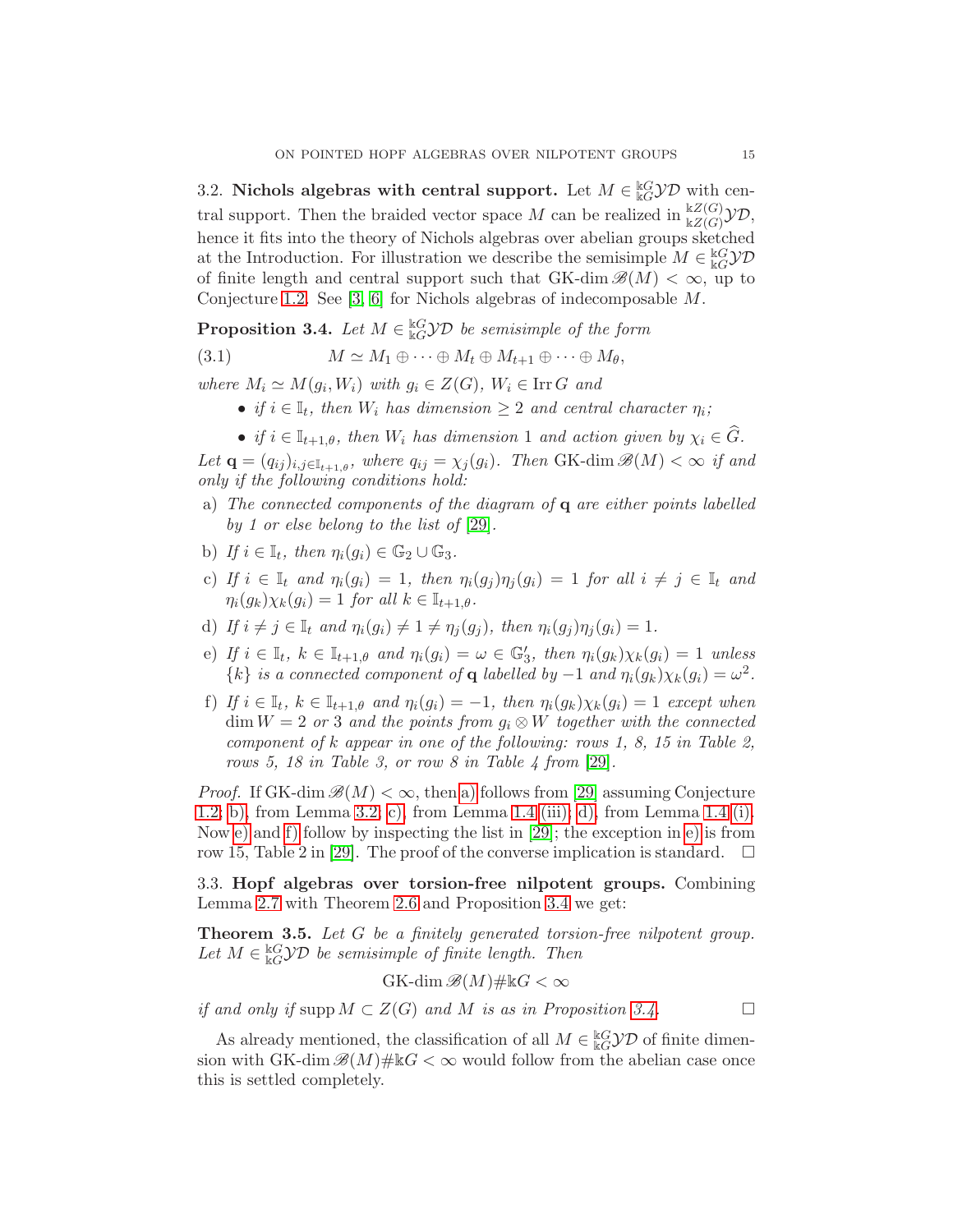3.2. Nichols algebras with central support. Let  $M \in \mathcal{C}^k$  with central support. Then the braided vector space M can be realized in  $\frac{kZ(G)}{kZ(G)}\mathcal{YD}$ , hence it fits into the theory of Nichols algebras over abelian groups sketched at the Introduction. For illustration we describe the semisimple  $M \in \frac{\mathbb{k}G}{\mathbb{k}G} \mathcal{YD}$ of finite length and central support such that  $GK$ -dim  $\mathcal{B}(M) < \infty$ , up to Conjecture [1.2.](#page-3-0) See [\[3,](#page-24-3) [6\]](#page-24-18) for Nichols algebras of indecomposable M.

<span id="page-14-7"></span>**Proposition 3.4.** Let  $M \in \mathbb{R}^d$  *EGYD* be semisimple of the form

(3.1)  $M \simeq M_1 \oplus \cdots \oplus M_t \oplus M_{t+1} \oplus \cdots \oplus M_{\theta},$ 

where  $M_i \simeq M(g_i, W_i)$  with  $g_i \in Z(G)$ ,  $W_i \in \text{Irr } G$  and

- if  $i \in \mathbb{I}_t$ , then  $W_i$  has dimension  $\geq 2$  and central character  $\eta_i$ ;
- if  $i \in \mathbb{I}_{t+1,\theta}$ , then  $W_i$  has dimension 1 and action given by  $\chi_i \in \widehat{G}$ .

Let  $\mathbf{q} = (q_{ij})_{i,j \in \mathbb{I}_{t+1,\theta}}$ , where  $q_{ij} = \chi_j(g_i)$ . Then GK-dim  $\mathscr{B}(M) < \infty$  if and only if the following conditions hold:

- <span id="page-14-1"></span>a) The connected components of the diagram of  $q$  are either points labelled by 1 or else belong to the list of [\[29\]](#page-25-1).
- <span id="page-14-3"></span><span id="page-14-2"></span>b) If  $i \in \mathbb{I}_t$ , then  $\eta_i(g_i) \in \mathbb{G}_2 \cup \mathbb{G}_3$ .
- c) If  $i \in \mathbb{I}_t$  and  $\eta_i(g_i) = 1$ , then  $\eta_i(g_j)\eta_j(g_i) = 1$  for all  $i \neq j \in \mathbb{I}_t$  and  $\eta_i(g_k)\chi_k(g_i)=1$  for all  $k\in\mathbb{I}_{t+1,\theta}$ .
- <span id="page-14-5"></span><span id="page-14-4"></span>d) If  $i \neq j \in \mathbb{I}_t$  and  $\eta_i(q_i) \neq 1 \neq \eta_i(q_j)$ , then  $\eta_i(q_i)\eta_i(q_i) = 1$ .
- e) If  $i \in \mathbb{I}_t$ ,  $k \in \mathbb{I}_{t+1,\theta}$  and  $\eta_i(g_i) = \omega \in \mathbb{G}'_3$ , then  $\eta_i(g_k)\chi_k(g_i) = 1$  unless  $\{k\}$  is a connected component of **q** labelled by  $-1$  and  $\eta_i(g_k)\chi_k(g_i) = \omega^2$ .
- <span id="page-14-6"></span>f) If  $i \in \mathbb{I}_t$ ,  $k \in \mathbb{I}_{t+1,\theta}$  and  $\eta_i(g_i) = -1$ , then  $\eta_i(g_k)\chi_k(g_i) = 1$  except when  $\dim W = 2$  or 3 and the points from  $g_i \otimes W$  together with the connected component of k appear in one of the following: rows 1, 8, 15 in Table 2, rows 5, 18 in Table 3, or row 8 in Table 4 from  $[29]$ .

*Proof.* If GK-dim  $\mathscr{B}(M) < \infty$ , then [a\)](#page-14-1) follows from [\[29\]](#page-25-1) assuming Conjecture [1.2;](#page-3-0) [b\),](#page-14-2) from Lemma [3.2;](#page-13-3) [c\),](#page-14-3) from Lemma [1.4](#page-4-2) [\(iii\);](#page-4-0) [d\),](#page-14-4) from Lemma [1.4](#page-4-2) [\(i\).](#page-4-3) Now [e\)](#page-14-5) and [f\)](#page-14-6) follow by inspecting the list in  $[29]$ ; the exception in e) is from row 15, Table 2 in [\[29\]](#page-25-1). The proof of the converse implication is standard.

3.3. Hopf algebras over torsion-free nilpotent groups. Combining Lemma [2.7](#page-11-1) with Theorem [2.6](#page-10-0) and Proposition [3.4](#page-14-7) we get:

<span id="page-14-0"></span>Theorem 3.5. Let G be a finitely generated torsion-free nilpotent group. Let  $M \in \frac{\log \mathcal{Y}}{\log \mathcal{Y}}$  be semisimple of finite length. Then

$$
G\mathrm{K}\text{-}\dim\mathscr{B}(M)\#\Bbbk G<\infty
$$

if and only if supp  $M \subset Z(G)$  and M is as in Proposition [3.4.](#page-14-7)

As already mentioned, the classification of all  $M \in \frac{\mathbb{k}G}{\mathbb{k}G} \mathcal{YD}$  of finite dimension with GK-dim  $\mathscr{B}(M)\# \Bbbk G < \infty$  would follow from the abelian case once this is settled completely.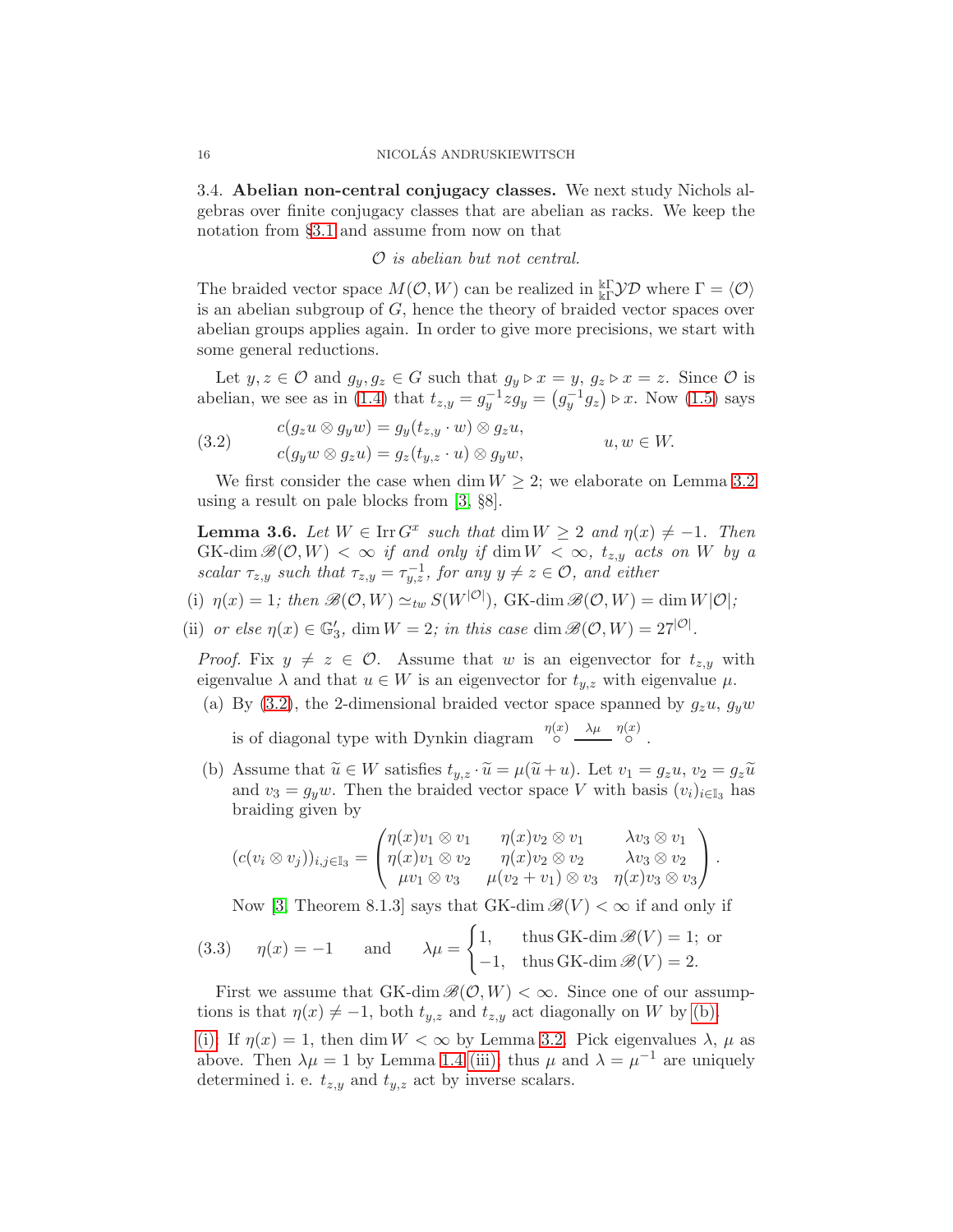3.4. Abelian non-central conjugacy classes. We next study Nichols algebras over finite conjugacy classes that are abelian as racks. We keep the notation from §[3.1](#page-13-5) and assume from now on that

O is abelian but not central.

The braided vector space  $M(\mathcal{O}, W)$  can be realized in  $_{\Bbbk \Gamma}^{\Bbbk \Gamma}$  where  $\Gamma = \langle \mathcal{O} \rangle$ is an abelian subgroup of G, hence the theory of braided vector spaces over abelian groups applies again. In order to give more precisions, we start with some general reductions.

Let  $y, z \in \mathcal{O}$  and  $g_y, g_z \in G$  such that  $g_y \triangleright x = y, g_z \triangleright x = z$ . Since  $\mathcal{O}$  is abelian, we see as in [\(1.4\)](#page-5-2) that  $t_{z,y} = g_y^{-1}zg_y = (g_y^{-1}g_z) \triangleright x$ . Now [\(1.5\)](#page-5-3) says

<span id="page-15-0"></span>(3.2) 
$$
c(g_z u \otimes g_y w) = g_y(t_{z,y} \cdot w) \otimes g_z u,
$$

$$
c(g_y w \otimes g_z u) = g_z(t_{y,z} \cdot u) \otimes g_y w,
$$

$$
u, w \in W.
$$

We first consider the case when dim  $W \geq 2$ ; we elaborate on Lemma [3.2](#page-13-3) using a result on pale blocks from [\[3,](#page-24-3) §8].

<span id="page-15-4"></span>**Lemma 3.6.** Let  $W \in \text{Irr } G^x$  such that  $\dim W \geq 2$  and  $\eta(x) \neq -1$ . Then  $GK\text{-dim }\mathscr{B}(\mathcal{O},W)<\infty$  if and only if  $\dim W<\infty$ ,  $t_{z,y}$  acts on W by a scalar  $\tau_{z,y}$  such that  $\tau_{z,y} = \tau_{y,z}^{-1}$ , for any  $y \neq z \in \mathcal{O}$ , and either

<span id="page-15-3"></span><span id="page-15-2"></span>(i)  $\eta(x) = 1$ ; then  $\mathscr{B}(\mathcal{O}, W) \simeq_{tw} S(W^{|\mathcal{O}|})$ , GK-dim  $\mathscr{B}(\mathcal{O}, W) = \dim W^{|\mathcal{O}|}$ ;

(ii) or else  $\eta(x) \in \mathbb{G}'_3$ , dim  $W = 2$ ; in this case dim  $\mathscr{B}(\mathcal{O}, W) = 27^{|\mathcal{O}|}$ .

*Proof.* Fix  $y \neq z \in \mathcal{O}$ . Assume that w is an eigenvector for  $t_{z,y}$  with eigenvalue  $\lambda$  and that  $u \in W$  is an eigenvector for  $t_{y,z}$  with eigenvalue  $\mu$ .

(a) By [\(3.2\)](#page-15-0), the 2-dimensional braided vector space spanned by  $g_z u$ ,  $g_y w$ 

is of diagonal type with Dynkin diagram  $\int_{0}^{\eta(x)} \frac{\lambda \mu}{\lambda} \int_{0}^{\eta(x)}$ .

<span id="page-15-1"></span>(b) Assume that  $\widetilde{u} \in W$  satisfies  $t_{y,z} \cdot \widetilde{u} = \mu(\widetilde{u} + u)$ . Let  $v_1 = g_z u$ ,  $v_2 = g_z \widetilde{u}$ and  $v_3 = g_y w$ . Then the braided vector space V with basis  $(v_i)_{i \in \mathbb{I}_3}$  has braiding given by

$$
(c(v_i \otimes v_j))_{i,j \in \mathbb{I}_3} = \begin{pmatrix} \eta(x)v_1 \otimes v_1 & \eta(x)v_2 \otimes v_1 & \lambda v_3 \otimes v_1 \\ \eta(x)v_1 \otimes v_2 & \eta(x)v_2 \otimes v_2 & \lambda v_3 \otimes v_2 \\ \mu v_1 \otimes v_3 & \mu(v_2 + v_1) \otimes v_3 & \eta(x)v_3 \otimes v_3 \end{pmatrix}.
$$

Now [\[3,](#page-24-3) Theorem 8.1.3] says that GK-dim  $\mathscr{B}(V) < \infty$  if and only if

(3.3) 
$$
\eta(x) = -1
$$
 and  $\lambda \mu = \begin{cases} 1, & \text{thus GK-dim } \mathcal{B}(V) = 1; \text{ or} \\ -1, & \text{thus GK-dim } \mathcal{B}(V) = 2. \end{cases}$ 

First we assume that GK-dim  $\mathscr{B}(\mathcal{O}, W) < \infty$ . Since one of our assumptions is that  $\eta(x) \neq -1$ , both  $t_{y,z}$  and  $t_{z,y}$  act diagonally on W by [\(b\).](#page-15-1)

[\(i\):](#page-15-2) If  $\eta(x) = 1$ , then dim  $W < \infty$  by Lemma [3.2.](#page-13-3) Pick eigenvalues  $\lambda$ ,  $\mu$  as above. Then  $\lambda \mu = 1$  by Lemma [1.4](#page-4-2) [\(iii\);](#page-4-0) thus  $\mu$  and  $\lambda = \mu^{-1}$  are uniquely determined i. e.  $t_{z,y}$  and  $t_{y,z}$  act by inverse scalars.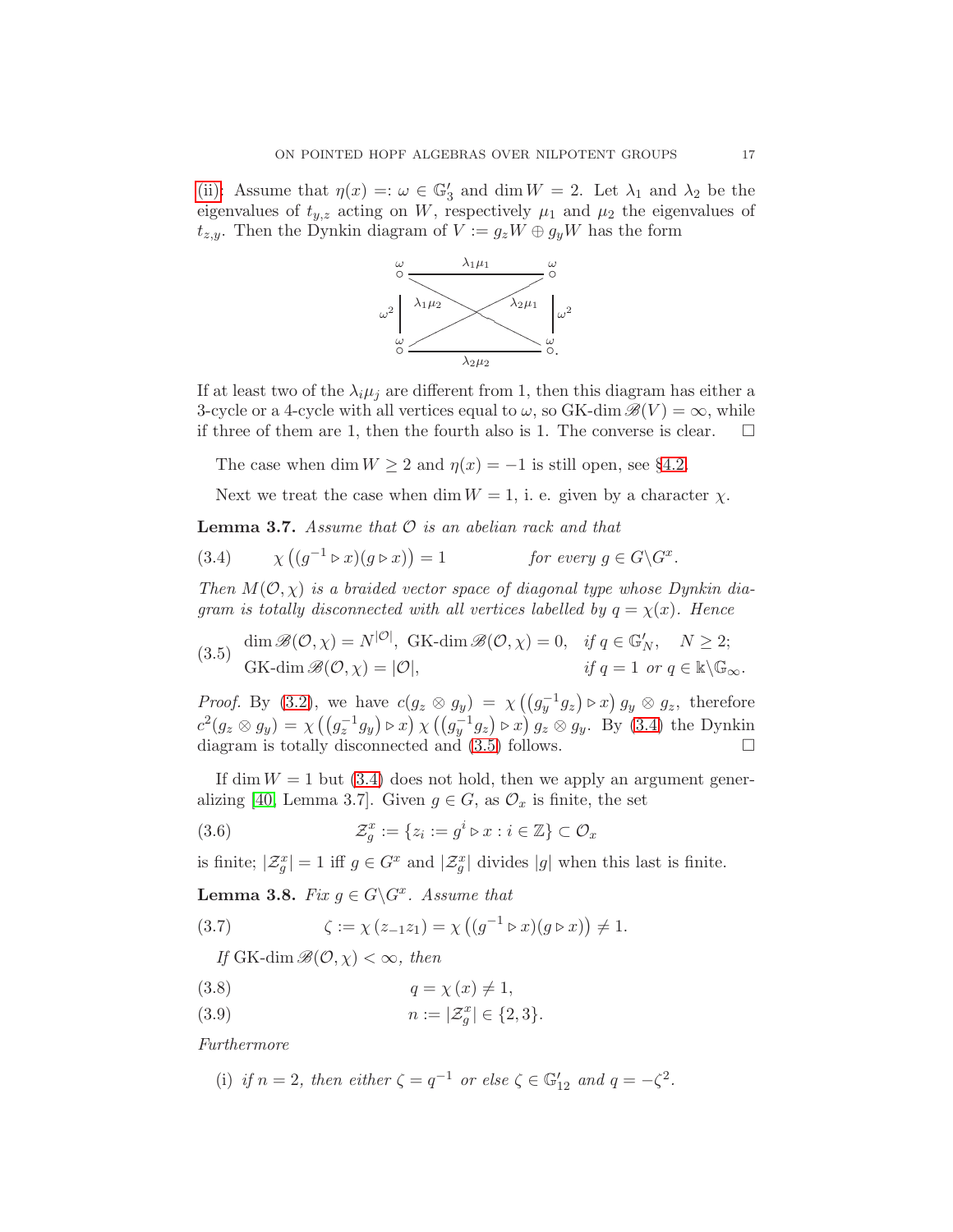[\(ii\):](#page-15-3) Assume that  $\eta(x) =: \omega \in \mathbb{G}'_3$  and dim  $W = 2$ . Let  $\lambda_1$  and  $\lambda_2$  be the eigenvalues of  $t_{y,z}$  acting on W, respectively  $\mu_1$  and  $\mu_2$  the eigenvalues of  $t_{z,y}$ . Then the Dynkin diagram of  $V := g_z W \oplus g_y W$  has the form



If at least two of the  $\lambda_i \mu_j$  are different from 1, then this diagram has either a 3-cycle or a 4-cycle with all vertices equal to  $\omega$ , so GK-dim  $\mathscr{B}(V) = \infty$ , while if three of them are 1, then the fourth also is 1. The converse is clear.  $\Box$ 

The case when dim  $W \ge 2$  and  $\eta(x) = -1$  is still open, see §[4.2.](#page-23-0)

Next we treat the case when dim  $W = 1$ , i. e. given by a character  $\chi$ .

<span id="page-16-5"></span>**Lemma 3.7.** Assume that  $\mathcal{O}$  is an abelian rack and that

<span id="page-16-0"></span>(3.4) 
$$
\chi\left((g^{-1} \triangleright x)(g \triangleright x)\right) = 1 \quad \text{for every } g \in G \backslash G^x.
$$

Then  $M(0, \chi)$  is a braided vector space of diagonal type whose Dynkin diagram is totally disconnected with all vertices labelled by  $q = \chi(x)$ . Hence

<span id="page-16-1"></span>(3.5) 
$$
\dim \mathcal{B}(\mathcal{O}, \chi) = N^{|\mathcal{O}|}, \text{ GK-dim } \mathcal{B}(\mathcal{O}, \chi) = 0, \quad \text{if } q \in \mathbb{G}'_N, \quad N \ge 2;
$$
  

$$
\text{ GK-dim } \mathcal{B}(\mathcal{O}, \chi) = |\mathcal{O}|, \qquad \text{if } q = 1 \text{ or } q \in \mathbb{K} \backslash \mathbb{G}_{\infty}.
$$

*Proof.* By [\(3.2\)](#page-15-0), we have  $c(g_z \otimes g_y) = \chi((g_y^{-1}g_z) \triangleright x) g_y \otimes g_z$ , therefore  $c^2(g_z \otimes g_y) = \chi((g_z^{-1}g_y) \triangleright x) \chi((g_y^{-1}g_z) \triangleright x) g_z \otimes g_y$ . By [\(3.4\)](#page-16-0) the Dynkin diagram is totally disconnected and [\(3.5\)](#page-16-1) follows.

If dim  $W = 1$  but [\(3.4\)](#page-16-0) does not hold, then we apply an argument gener-alizing [\[40,](#page-25-2) Lemma 3.7]. Given  $g \in G$ , as  $\mathcal{O}_x$  is finite, the set

<span id="page-16-6"></span>(3.6) 
$$
\mathcal{Z}_g^x := \{ z_i := g^i \triangleright x : i \in \mathbb{Z} \} \subset \mathcal{O}_x
$$

is finite;  $|\mathcal{Z}_g^x| = 1$  iff  $g \in G^x$  and  $|\mathcal{Z}_g^x|$  divides  $|g|$  when this last is finite.

<span id="page-16-4"></span>**Lemma 3.8.** Fix  $g \in G \backslash G^x$ . Assume that

<span id="page-16-2"></span>(3.7) 
$$
\zeta := \chi(z_{-1}z_1) = \chi((g^{-1} \triangleright x)(g \triangleright x)) \neq 1.
$$

If GK-dim  $\mathscr{B}(\mathcal{O}, \chi) < \infty$ , then

$$
(3.8) \t\t q = \chi(x) \neq 1,
$$

(3.9) 
$$
n := |\mathcal{Z}_g^x| \in \{2, 3\}.
$$

<span id="page-16-3"></span>Furthermore

(i) if 
$$
n = 2
$$
, then either  $\zeta = q^{-1}$  or else  $\zeta \in \mathbb{G}'_{12}$  and  $q = -\zeta^2$ .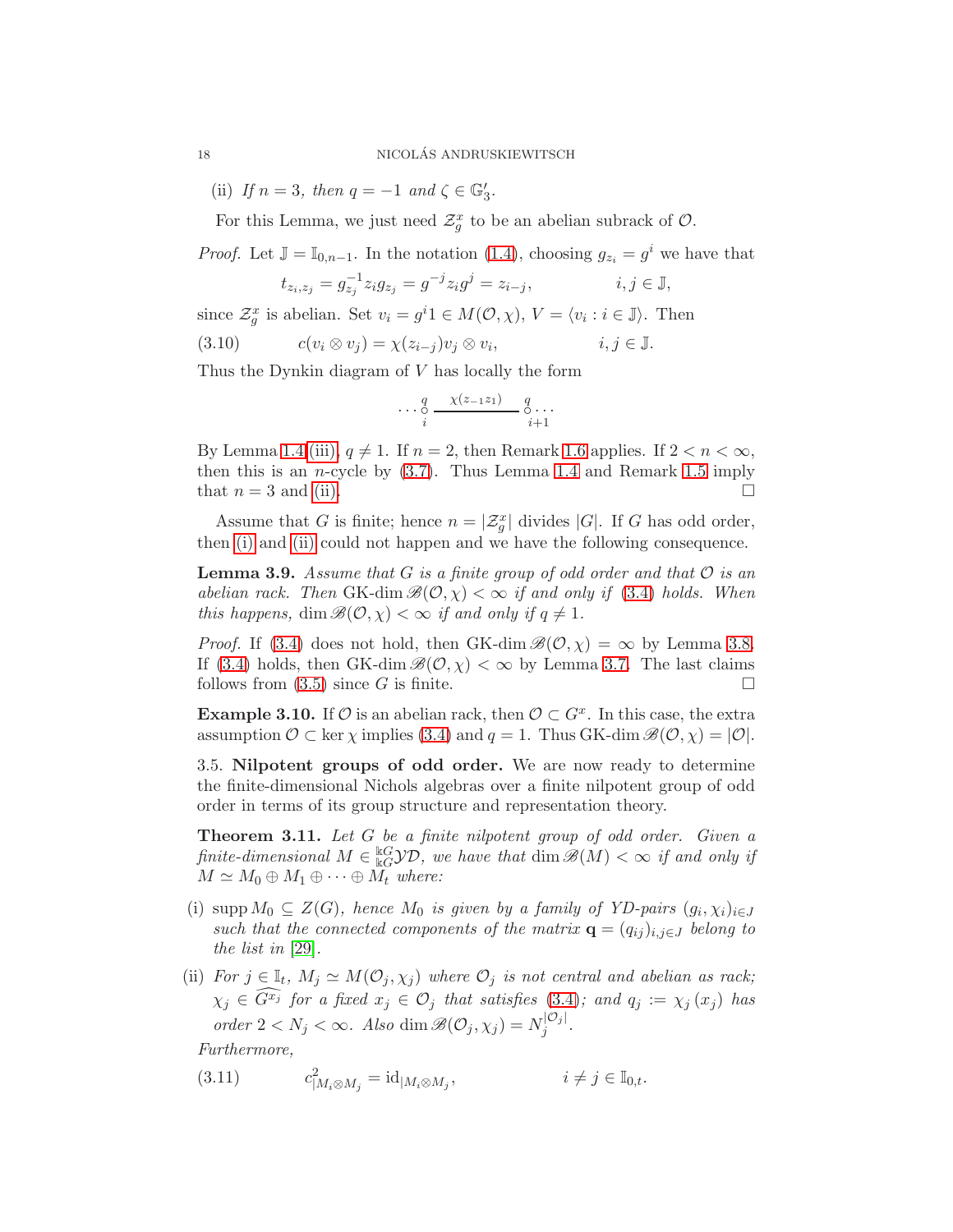(ii) If  $n = 3$ , then  $q = -1$  and  $\zeta \in \mathbb{G}'_3$ .

For this Lemma, we just need  $\mathcal{Z}_g^x$  to be an abelian subrack of  $\mathcal{O}$ .

*Proof.* Let  $\mathbb{J} = \mathbb{I}_{0,n-1}$ . In the notation [\(1.4\)](#page-5-2), choosing  $g_{z_i} = g^i$  we have that

$$
t_{z_i, z_j} = g_{z_j}^{-1} z_i g_{z_j} = g^{-j} z_i g^j = z_{i-j}, \qquad i, j \in \mathbb{J},
$$

since  $\mathcal{Z}_g^x$  is abelian. Set  $v_i = g^i 1 \in M(\mathcal{O}, \chi)$ ,  $V = \langle v_i : i \in \mathbb{J} \rangle$ . Then

$$
(3.10) \t c(v_i \otimes v_j) = \chi(z_{i-j})v_j \otimes v_i, \t i, j \in \mathbb{J}.
$$

Thus the Dynkin diagram of V has locally the form

$$
\cdots \underset{i}{\circ} \xrightarrow{\chi(z_{-1}z_1)} \underset{i+1}{\circ} \cdots
$$

By Lemma [1.4](#page-4-2) [\(iii\),](#page-4-0)  $q \neq 1$ . If  $n = 2$ , then Remark [1.6](#page-4-4) applies. If  $2 < n < \infty$ , then this is an *n*-cycle by  $(3.7)$ . Thus Lemma [1.4](#page-4-2) and Remark [1.5](#page-4-5) imply that  $n = 3$  and [\(ii\).](#page-17-1)

Assume that G is finite; hence  $n = \lvert \mathcal{Z}_g^x \rvert$  divides  $|G|$ . If G has odd order, then [\(i\)](#page-16-3) and [\(ii\)](#page-17-1) could not happen and we have the following consequence.

<span id="page-17-3"></span>**Lemma 3.9.** Assume that G is a finite group of odd order and that  $\mathcal{O}$  is an abelian rack. Then GK-dim  $\mathscr{B}(\mathcal{O}, \chi) < \infty$  if and only if [\(3.4\)](#page-16-0) holds. When this happens, dim  $\mathscr{B}(\mathcal{O}, \chi) < \infty$  if and only if  $q \neq 1$ .

*Proof.* If [\(3.4\)](#page-16-0) does not hold, then GK-dim  $\mathcal{B}(\mathcal{O}, \chi) = \infty$  by Lemma [3.8.](#page-16-4) If [\(3.4\)](#page-16-0) holds, then GK-dim  $\mathcal{B}(\mathcal{O}, \chi) < \infty$  by Lemma [3.7.](#page-16-5) The last claims follows from  $(3.5)$  since G is finite.

**Example 3.10.** If  $\mathcal{O}$  is an abelian rack, then  $\mathcal{O} \subset G^x$ . In this case, the extra assumption  $\mathcal{O} \subset \text{ker } \chi$  implies [\(3.4\)](#page-16-0) and  $q = 1$ . Thus GK-dim  $\mathscr{B}(\mathcal{O}, \chi) = |\mathcal{O}|$ .

3.5. Nilpotent groups of odd order. We are now ready to determine the finite-dimensional Nichols algebras over a finite nilpotent group of odd order in terms of its group structure and representation theory.

<span id="page-17-0"></span>Theorem 3.11. Let G be a finite nilpotent group of odd order. Given a finite-dimensional  $M \in \frac{\text{kG}}{\text{kG}}$  *kG* $\mathcal{YD}$ , we have that  $\dim \mathscr{B}(M) < \infty$  if and only if  $M \simeq M_0 \oplus M_1 \oplus \cdots \oplus M_t$  where:

- <span id="page-17-2"></span>(i) supp  $M_0 \subseteq Z(G)$ , hence  $M_0$  is given by a family of YD-pairs  $(g_i, \chi_i)_{i \in J}$ such that the connected components of the matrix  $\mathbf{q} = (q_{ij})_{i,j \in J}$  belong to the list in [\[29\]](#page-25-1).
- <span id="page-17-4"></span>(ii) For  $j \in \mathbb{I}_t$ ,  $M_j \simeq M(\mathcal{O}_j, \chi_j)$  where  $\mathcal{O}_j$  is not central and abelian as rack;  $\chi_j \in \widehat{G^{x_j}}$  for a fixed  $x_j \in \mathcal{O}_j$  that satisfies [\(3.4\)](#page-16-0); and  $q_j := \chi_j(x_j)$  has order  $2 < N_j < \infty$ . Also dim  $\mathscr{B}(\mathcal{O}_j, \chi_j) = N_j^{|\mathcal{O}_j|}$  $j^{\vert \bigcup j \vert}.$

Furthermore,

<span id="page-17-5"></span>(3.11) 
$$
c_{|M_i \otimes M_j}^2 = id_{|M_i \otimes M_j}, \qquad i \neq j \in \mathbb{I}_{0,t}.
$$

<span id="page-17-1"></span>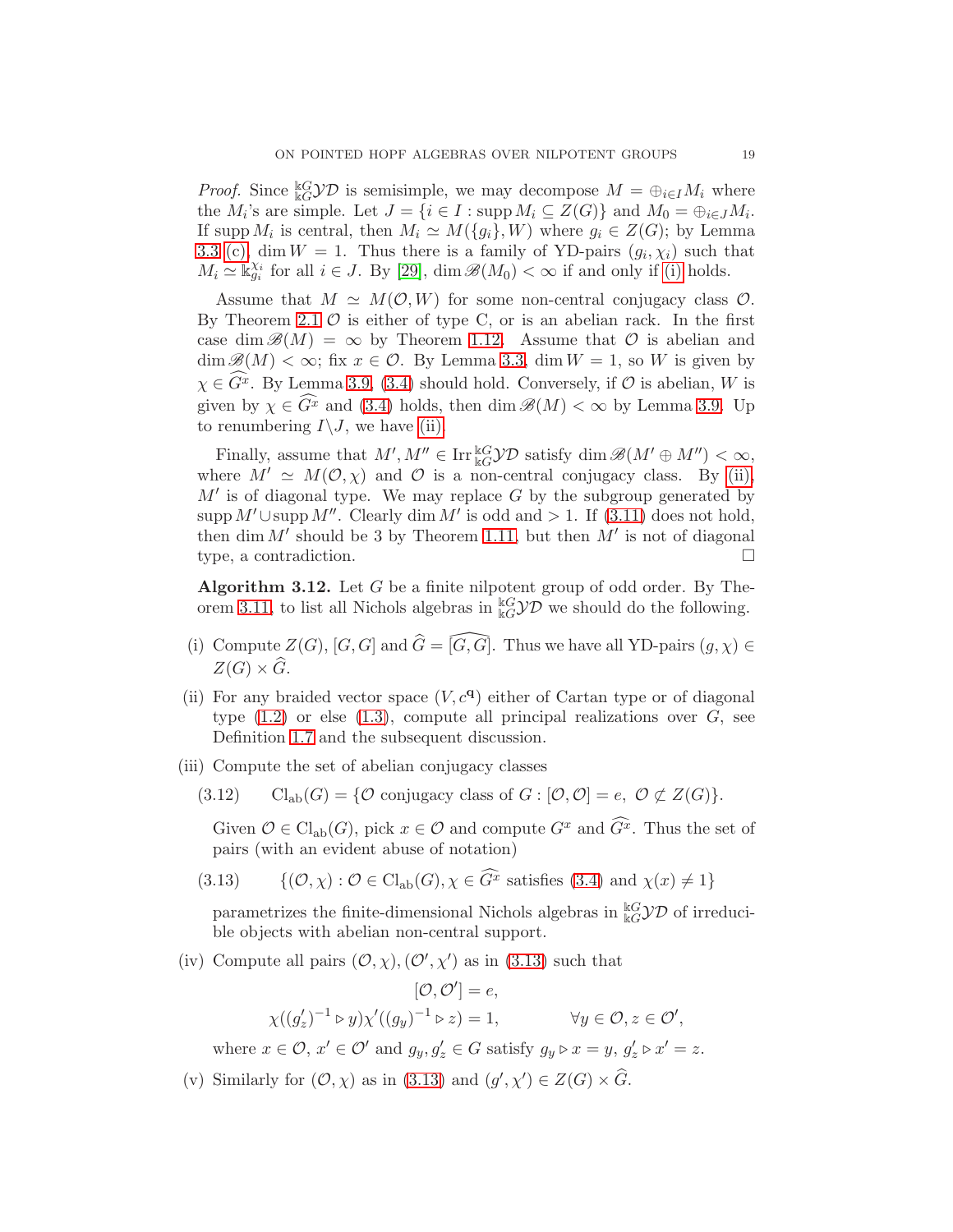*Proof.* Since  ${}_{kG}^{kG}$  $\mathcal{YD}$  is semisimple, we may decompose  $M = \bigoplus_{i \in I} M_i$  where the  $M_i$ 's are simple. Let  $J = \{i \in I : \text{supp } M_i \subseteq Z(G)\}\$  and  $M_0 = \bigoplus_{i \in J} M_i$ . If supp  $M_i$  is central, then  $M_i \simeq M(\lbrace g_i \rbrace, W)$  where  $g_i \in Z(G)$ ; by Lemma [3.3](#page-13-6) [\(c\),](#page-13-4) dim  $W = 1$ . Thus there is a family of YD-pairs  $(g_i, \chi_i)$  such that  $M_i \simeq \mathbb{K}_{g_i}^{\chi_i}$  for all  $i \in J$ . By [\[29\]](#page-25-1),  $\dim \mathcal{B}(M_0) < \infty$  if and only if [\(i\)](#page-17-2) holds.

Assume that  $M \simeq M(\mathcal{O}, W)$  for some non-central conjugacy class  $\mathcal{O}$ . By Theorem [2.1](#page-8-0)  $\circ$  is either of type C, or is an abelian rack. In the first case dim  $\mathscr{B}(M) = \infty$  by Theorem [1.12.](#page-7-1) Assume that O is abelian and  $\dim \mathcal{B}(M) < \infty$ ; fix  $x \in \mathcal{O}$ . By Lemma [3.3,](#page-13-6)  $\dim W = 1$ , so W is given by  $\chi \in \widehat{G}^x$ . By Lemma [3.9,](#page-17-3) [\(3.4\)](#page-16-0) should hold. Conversely, if  $\mathcal O$  is abelian, W is given by  $\chi \in \widehat{G}^x$  and [\(3.4\)](#page-16-0) holds, then dim  $\mathscr{B}(M) < \infty$  by Lemma [3.9.](#page-17-3) Up to renumbering  $I \setminus J$ , we have [\(ii\).](#page-17-4)

Finally, assume that  $M', M'' \in \text{Irr}^{\mathbb{k}G}_{\mathbb{k}G} \mathcal{YD}$  satisfy  $\dim \mathcal{B}(M' \oplus M'') < \infty$ , where  $M' \simeq M(\mathcal{O}, \chi)$  and  $\mathcal O$  is a non-central conjugacy class. By [\(ii\),](#page-17-4)  $M'$  is of diagonal type. We may replace  $G$  by the subgroup generated by supp  $M' \cup \text{supp } M''$ . Clearly dim M' is odd and > 1. If [\(3.11\)](#page-17-5) does not hold, then dim  $M'$  should be 3 by Theorem [1.11,](#page-6-2) but then  $M'$  is not of diagonal type, a contradiction.

**Algorithm 3.12.** Let  $G$  be a finite nilpotent group of odd order. By The-orem [3.11,](#page-17-0) to list all Nichols algebras in  ${}_{kG}^{kG}$  $D$  we should do the following.

- (i) Compute  $Z(G)$ ,  $[G, G]$  and  $\widehat{G} = \widehat{[G, G]}$ . Thus we have all YD-pairs  $(g, \chi) \in$  $Z(G) \times \widehat{G}$ .
- (ii) For any braided vector space  $(V, c<sup>q</sup>)$  either of Cartan type or of diagonal type  $(1.2)$  or else  $(1.3)$ , compute all principal realizations over  $G$ , see Definition [1.7](#page-5-4) and the subsequent discussion.
- (iii) Compute the set of abelian conjugacy classes
	- (3.12) Cl<sub>ab</sub> $(G) = \{ \mathcal{O} \text{ conjugacy class of } G : [\mathcal{O}, \mathcal{O}] = e, \mathcal{O} \not\subset Z(G) \}.$

Given  $\mathcal{O} \in \mathrm{Cl}_{ab}(G)$ , pick  $x \in \mathcal{O}$  and compute  $G^x$  and  $\widehat{G}^x$ . Thus the set of pairs (with an evident abuse of notation)

<span id="page-18-0"></span>(3.13) 
$$
\{(\mathcal{O}, \chi) : \mathcal{O} \in \mathrm{Cl}_{\mathrm{ab}}(G), \chi \in \overline{G}^x \text{ satisfies (3.4) and } \chi(x) \neq 1\}
$$

parametrizes the finite-dimensional Nichols algebras in  $_{\rm kG}^{\rm kG} \mathcal{YD}$  of irreducible objects with abelian non-central support.

(iv) Compute all pairs  $(0, \chi), (0', \chi')$  as in [\(3.13\)](#page-18-0) such that

 $[\mathcal{O}, \mathcal{O}'] = e,$  $\chi((g_z')^{-1} \triangleright y)\chi'((g_y)^{-1} \triangleright z) = 1, \qquad \forall y \in \mathcal{O}, z \in \mathcal{O}',$ 

where  $x \in \mathcal{O}$ ,  $x' \in \mathcal{O}'$  and  $g_y, g'_z \in G$  satisfy  $g_y \triangleright x = y$ ,  $g'_z \triangleright x' = z$ .

(v) Similarly for  $(0, \chi)$  as in [\(3.13\)](#page-18-0) and  $(g', \chi') \in Z(G) \times \widehat{G}$ .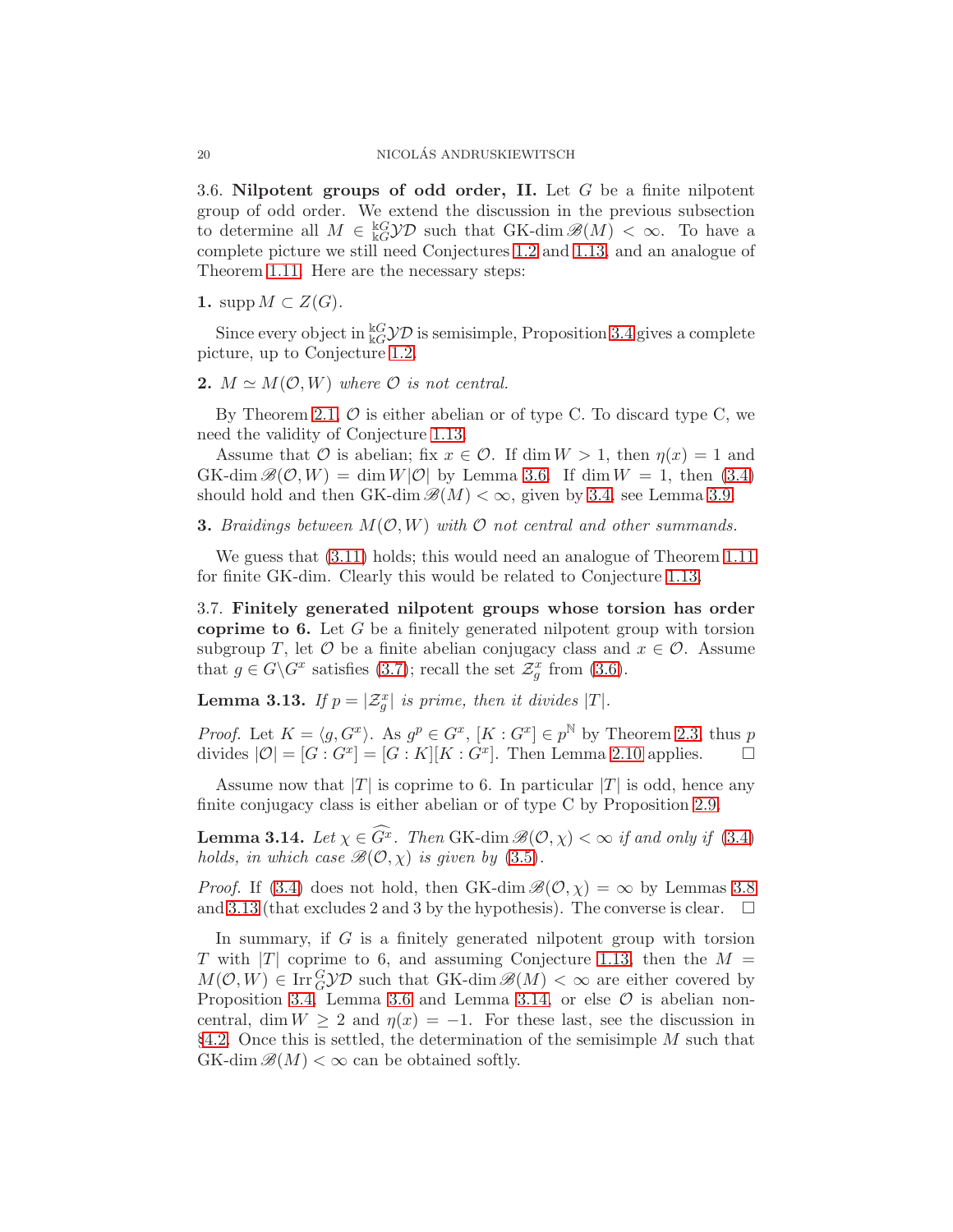3.6. Nilpotent groups of odd order, II. Let  $G$  be a finite nilpotent group of odd order. We extend the discussion in the previous subsection to determine all  $M \in \frac{kG}{kQ}$  such that GK-dim  $\mathscr{B}(M) < \infty$ . To have a complete picture we still need Conjectures [1.2](#page-3-0) and [1.13,](#page-7-0) and an analogue of Theorem [1.11.](#page-6-2) Here are the necessary steps:

1. supp  $M \subset Z(G)$ .

Since every object in  $k_G^k$  $\mathcal{YD}$  is semisimple, Proposition [3.4](#page-14-7) gives a complete picture, up to Conjecture [1.2.](#page-3-0)

# 2.  $M \simeq M(\mathcal{O}, W)$  where  $\mathcal O$  is not central.

By Theorem [2.1,](#page-8-0)  $\mathcal O$  is either abelian or of type C. To discard type C, we need the validity of Conjecture [1.13.](#page-7-0)

Assume that O is abelian; fix  $x \in \mathcal{O}$ . If dim  $W > 1$ , then  $\eta(x) = 1$  and GK-dim  $\mathscr{B}(\mathcal{O}, W) = \dim W|\mathcal{O}|$  by Lemma [3.6.](#page-15-4) If  $\dim W = 1$ , then [\(3.4\)](#page-16-0) should hold and then GK-dim  $\mathscr{B}(M) < \infty$ , given by [3.4,](#page-16-0) see Lemma [3.9.](#page-17-3)

### **3.** Braidings between  $M(\mathcal{O}, W)$  with  $\mathcal{O}$  not central and other summands.

We guess that [\(3.11\)](#page-17-5) holds; this would need an analogue of Theorem [1.11](#page-6-2) for finite GK-dim. Clearly this would be related to Conjecture [1.13.](#page-7-0)

3.7. Finitely generated nilpotent groups whose torsion has order coprime to 6. Let  $G$  be a finitely generated nilpotent group with torsion subgroup T, let  $\mathcal O$  be a finite abelian conjugacy class and  $x \in \mathcal O$ . Assume that  $g \in G \backslash G^x$  satisfies [\(3.7\)](#page-16-2); recall the set  $\mathcal{Z}_g^x$  from [\(3.6\)](#page-16-6).

<span id="page-19-0"></span>**Lemma 3.13.** If  $p = \lvert \mathcal{Z}_g^x \rvert$  is prime, then it divides  $\lvert T \rvert$ .

*Proof.* Let  $K = \langle g, G^x \rangle$ . As  $g^p \in G^x$ ,  $[K : G^x] \in p^{\mathbb{N}}$  by Theorem [2.3,](#page-9-1) thus p divides  $|\mathcal{O}| = [G : G^x] = [G : K][K : G^x]$ . Then Lemma [2.10](#page-12-0) applies.  $\square$ 

Assume now that  $|T|$  is coprime to 6. In particular  $|T|$  is odd, hence any finite conjugacy class is either abelian or of type C by Proposition [2.9.](#page-11-0)

<span id="page-19-1"></span>**Lemma 3.14.** Let  $\chi \in \widehat{G^x}$ . Then GK-dim  $\mathscr{B}(\mathcal{O}, \chi) < \infty$  if and only if [\(3.4\)](#page-16-0) holds, in which case  $\mathcal{B}(\mathcal{O}, \chi)$  is given by [\(3.5\)](#page-16-1).

*Proof.* If [\(3.4\)](#page-16-0) does not hold, then GK-dim  $\mathcal{B}(\mathcal{O}, \chi) = \infty$  by Lemmas [3.8](#page-16-4) and [3.13](#page-19-0) (that excludes 2 and 3 by the hypothesis). The converse is clear.  $\Box$ 

In summary, if G is a finitely generated nilpotent group with torsion T with |T| coprime to 6, and assuming Conjecture [1.13,](#page-7-0) then the  $M =$  $M(\mathcal{O}, W) \in \text{Irr}_G^G\mathcal{YD}$  such that GK-dim  $\mathscr{B}(M) < \infty$  are either covered by Proposition [3.4,](#page-14-7) Lemma [3.6](#page-15-4) and Lemma [3.14,](#page-19-1) or else  $\mathcal O$  is abelian noncentral, dim  $W \ge 2$  and  $\eta(x) = -1$ . For these last, see the discussion in §[4.2.](#page-23-0) Once this is settled, the determination of the semisimple  $M$  such that  $GK$ -dim  $\mathscr{B}(M) < \infty$  can be obtained softly.

<span id="page-19-2"></span>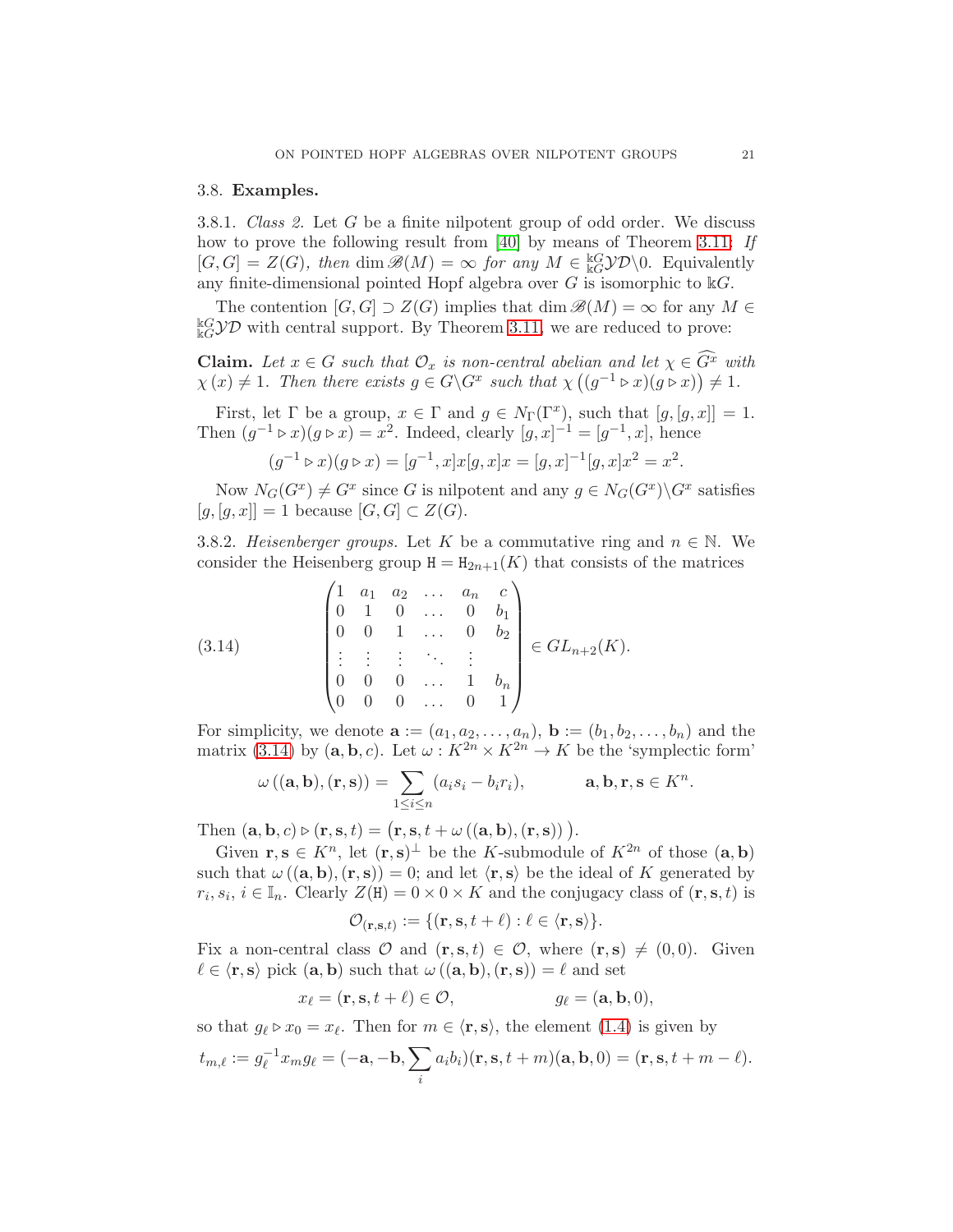# 3.8. Examples.

3.8.1. Class 2. Let G be a finite nilpotent group of odd order. We discuss how to prove the following result from [\[40\]](#page-25-2) by means of Theorem [3.11:](#page-17-0) If  $[G,G] = Z(G)$ , then dim  $\mathscr{B}(M) = \infty$  for any  $M \in \frac{\mathbb{k}G}{\mathbb{k}G} \mathcal{YD} \setminus 0$ . Equivalently any finite-dimensional pointed Hopf algebra over  $G$  is isomorphic to  $\mathbb{k}G$ .

The contention  $[G, G] \supset Z(G)$  implies that  $\dim \mathcal{B}(M) = \infty$  for any  $M \in$  $k_G^{\text{LC}}$  $\mathcal{YD}$  with central support. By Theorem [3.11,](#page-17-0) we are reduced to prove:

**Claim.** Let  $x \in G$  such that  $\mathcal{O}_x$  is non-central abelian and let  $\chi \in \widehat{G}^x$  with  $\chi(x) \neq 1$ . Then there exists  $g \in G \backslash G^x$  such that  $\chi((g^{-1} \triangleright x)(g \triangleright x)) \neq 1$ .

First, let  $\Gamma$  be a group,  $x \in \Gamma$  and  $g \in N_{\Gamma}(\Gamma^x)$ , such that  $[g, [g, x]] = 1$ . Then  $(g^{-1} \triangleright x)(g \triangleright x) = x^2$ . Indeed, clearly  $[g, x]^{-1} = [g^{-1}, x]$ , hence  $(g^{-1} \triangleright x)(g \triangleright x) = [g^{-1}, x]x[g, x]x = [g, x]^{-1}[g, x]x^2 = x^2.$ 

Now  $N_G(G^x) \neq G^x$  since G is nilpotent and any  $g \in N_G(G^x) \backslash G^x$  satisfies  $[g, [g, x]] = 1$  because  $[G, G] \subset Z(G)$ .

3.8.2. Heisenberger groups. Let K be a commutative ring and  $n \in \mathbb{N}$ . We consider the Heisenberg group  $H = H_{2n+1}(K)$  that consists of the matrices

<span id="page-20-0"></span>
$$
(3.14) \quad\n\begin{pmatrix}\n1 & a_1 & a_2 & \dots & a_n & c \\
0 & 1 & 0 & \dots & 0 & b_1 \\
0 & 0 & 1 & \dots & 0 & b_2 \\
\vdots & \vdots & \vdots & \ddots & \vdots & \vdots \\
0 & 0 & 0 & \dots & 1 & b_n \\
0 & 0 & 0 & \dots & 0 & 1\n\end{pmatrix}\n\in GL_{n+2}(K).
$$

For simplicity, we denote  $\mathbf{a} := (a_1, a_2, \ldots, a_n)$ ,  $\mathbf{b} := (b_1, b_2, \ldots, b_n)$  and the matrix [\(3.14\)](#page-20-0) by  $(a, b, c)$ . Let  $\omega : K^{2n} \times K^{2n} \to K$  be the 'symplectic form'

$$
\omega\left((\mathbf{a},\mathbf{b}),(r,\mathbf{s})\right)=\sum_{1\leq i\leq n}(a_is_i-b_ir_i),\qquad\mathbf{a},\mathbf{b},\mathbf{r},\mathbf{s}\in K^n.
$$

Then  $(\mathbf{a}, \mathbf{b}, c) \triangleright (\mathbf{r}, \mathbf{s}, t) = (\mathbf{r}, \mathbf{s}, t + \omega ((\mathbf{a}, \mathbf{b}), (\mathbf{r}, \mathbf{s})))$ .

Given  $\mathbf{r}, \mathbf{s} \in K^n$ , let  $(\mathbf{r}, \mathbf{s})^{\perp}$  be the K-submodule of  $K^{2n}$  of those  $(\mathbf{a}, \mathbf{b})$ such that  $\omega((a, b), (r, s)) = 0$ ; and let  $\langle r, s \rangle$  be the ideal of K generated by  $r_i, s_i, i \in \mathbb{I}_n$ . Clearly  $Z(H) = 0 \times 0 \times K$  and the conjugacy class of  $(\mathbf{r}, \mathbf{s}, t)$  is

$$
\mathcal{O}_{(\mathbf{r}, \mathbf{s}, t)} := \{ (\mathbf{r}, \mathbf{s}, t + \ell) : \ell \in \langle \mathbf{r}, \mathbf{s} \rangle \}.
$$

Fix a non-central class  $\mathcal O$  and  $(\mathbf r,\mathbf s,t)\in\mathcal O$ , where  $(\mathbf r,\mathbf s)\neq (0,0)$ . Given  $\ell \in \langle \mathbf{r}, \mathbf{s} \rangle$  pick  $(\mathbf{a}, \mathbf{b})$  such that  $\omega((\mathbf{a}, \mathbf{b}),(\mathbf{r}, \mathbf{s})) = \ell$  and set

$$
x_{\ell} = (\mathbf{r}, \mathbf{s}, t + \ell) \in \mathcal{O}, \qquad g_{\ell} = (\mathbf{a}, \mathbf{b}, 0),
$$

so that  $g_{\ell} \triangleright x_0 = x_{\ell}$ . Then for  $m \in \langle \mathbf{r}, \mathbf{s} \rangle$ , the element  $(1.4)$  is given by

$$
t_{m,\ell} := g_{\ell}^{-1}x_m g_{\ell} = (-\mathbf{a}, -\mathbf{b}, \sum_i a_i b_i)(\mathbf{r}, \mathbf{s}, t+m)(\mathbf{a}, \mathbf{b}, 0) = (\mathbf{r}, \mathbf{s}, t+m-\ell).
$$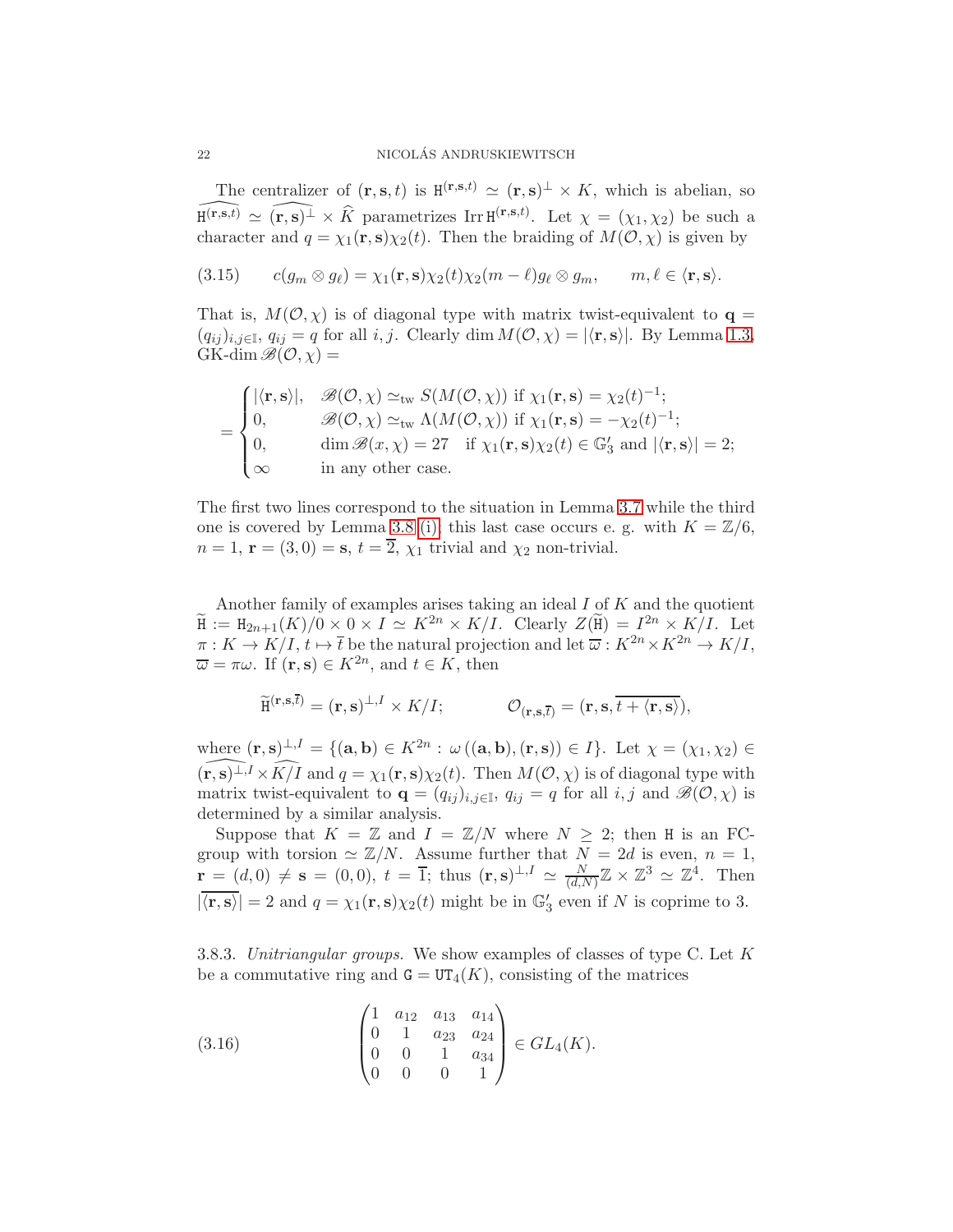The centralizer of  $(\mathbf{r}, \mathbf{s}, t)$  is  $H^{(\mathbf{r}, \mathbf{s}, t)} \simeq (\mathbf{r}, \mathbf{s})^{\perp} \times K$ , which is abelian, so  $\widehat{H^{(r,s,t)}} \simeq (\widehat{r,s})^{\perp} \times \widehat{K}$  parametrizes Irr  $H^{(r,s,t)}$ . Let  $\chi = (\chi_1, \chi_2)$  be such a character and  $q = \chi_1(\mathbf{r}, \mathbf{s}) \chi_2(t)$ . Then the braiding of  $M(\mathcal{O}, \chi)$  is given by

(3.15)  $c(g_m \otimes g_\ell) = \chi_1(\mathbf{r}, \mathbf{s}) \chi_2(t) \chi_2(m - \ell) g_\ell \otimes g_m, \quad m, \ell \in \langle \mathbf{r}, \mathbf{s} \rangle.$ 

That is,  $M(\mathcal{O}, \chi)$  is of diagonal type with matrix twist-equivalent to  $\mathbf{q} =$  $(q_{ij})_{i,j\in\mathbb{I}}, q_{ij}=q$  for all  $i, j$ . Clearly dim  $M(\mathcal{O}, \chi) = |\langle \mathbf{r}, \mathbf{s} \rangle|$ . By Lemma [1.3,](#page-4-1)  $GK\text{-dim}\mathcal{B}(\mathcal{O},\chi)=$ 

$$
= \begin{cases} |\langle \mathbf{r}, \mathbf{s} \rangle|, & \mathscr{B}(\mathcal{O}, \chi) \simeq_{\text{tw}} S(M(\mathcal{O}, \chi)) \text{ if } \chi_1(\mathbf{r}, \mathbf{s}) = \chi_2(t)^{-1}; \\ 0, & \mathscr{B}(\mathcal{O}, \chi) \simeq_{\text{tw}} \Lambda(M(\mathcal{O}, \chi)) \text{ if } \chi_1(\mathbf{r}, \mathbf{s}) = -\chi_2(t)^{-1}; \\ 0, & \dim \mathscr{B}(x, \chi) = 27 \text{ if } \chi_1(\mathbf{r}, \mathbf{s}) \chi_2(t) \in \mathbb{G}_3' \text{ and } |\langle \mathbf{r}, \mathbf{s} \rangle| = 2; \\ \infty & \text{in any other case.} \end{cases}
$$

The first two lines correspond to the situation in Lemma [3.7](#page-16-5) while the third one is covered by Lemma [3.8](#page-16-4) [\(i\);](#page-16-3) this last case occurs e. g. with  $K = \mathbb{Z}/6$ ,  $n = 1$ ,  $\mathbf{r} = (3, 0) = \mathbf{s}, t = \overline{2}, \chi_1$  trivial and  $\chi_2$  non-trivial.

Another family of examples arises taking an ideal I of K and the quotient  $\widetilde{H} := H_{2n+1}(K)/0 \times 0 \times I \simeq K^{2n} \times K/I$ . Clearly  $Z(\widetilde{H}) = I^{2n} \times K/I$ . Let  $\pi: K \to K/I$ ,  $t \mapsto \overline{t}$  be the natural projection and let  $\overline{\omega}: K^{2n} \times K^{2n} \to K/I$ ,  $\overline{\omega} = \pi \omega$ . If  $(\mathbf{r}, \mathbf{s}) \in K^{2n}$ , and  $t \in K$ , then

$$
\widetilde{\mathrm{H}}^{(\mathbf{r},\mathbf{s},\overline{t})} = (\mathbf{r},\mathbf{s})^{\perp,I} \times K/I; \qquad \mathcal{O}_{(\mathbf{r},\mathbf{s},\overline{t})} = (\mathbf{r},\mathbf{s},\overline{t + \langle \mathbf{r},\mathbf{s} \rangle}),
$$

where  $(\mathbf{r}, \mathbf{s})^{\perp, I} = \{(\mathbf{a}, \mathbf{b}) \in K^{2n} : \omega((\mathbf{a}, \mathbf{b}), (\mathbf{r}, \mathbf{s})) \in I\}$ . Let  $\chi = (\chi_1, \chi_2) \in$ <br> $(\mathbf{r}, \mathbf{s})^{\perp, I} \times \widehat{K/I}$  and  $g = \chi_1(\mathbf{r}, \mathbf{s})\chi_2(t)$ . Then  $M(O, \chi)$  is of diagonal type with  $(\widehat{\mathbf{r},\mathbf{s})^{\perp,I}} \times \widehat{K/I}$  and  $q = \chi_1(\mathbf{r},\mathbf{s})\chi_2(t)$ . Then  $M(\mathcal{O},\chi)$  is of diagonal type with matrix twist-equivalent to  $\mathbf{q} = (q_{ij})_{i,j\in\mathbb{I}}$ ,  $q_{ij} = q$  for all  $i, j$  and  $\mathscr{B}(\mathcal{O}, \chi)$  is determined by a similar analysis.

Suppose that  $K = \mathbb{Z}$  and  $I = \mathbb{Z}/N$  where  $N \geq 2$ ; then H is an FCgroup with torsion  $\simeq \mathbb{Z}/N$ . Assume further that  $N = 2d$  is even,  $n = 1$ ,  $\mathbf{r} = (d,0) \neq \mathbf{s} = (0,0), t = \overline{1}$ ; thus  $(\mathbf{r}, \mathbf{s})^{\perp,1} \simeq \frac{N}{(d)}$  $\frac{N}{(d,N)}\mathbb{Z} \times \mathbb{Z}^3 \simeq \mathbb{Z}^4$ . Then  $|\overline{\langle \mathbf{r}, \mathbf{s} \rangle}| = 2$  and  $q = \chi_1(\mathbf{r}, \mathbf{s}) \chi_2(t)$  might be in  $\mathbb{G}'_3$  even if N is coprime to 3.

<span id="page-21-0"></span>3.8.3. Unitriangular groups. We show examples of classes of type C. Let  $K$ be a commutative ring and  $G = UT_4(K)$ , consisting of the matrices

<span id="page-21-1"></span>(3.16) 
$$
\begin{pmatrix} 1 & a_{12} & a_{13} & a_{14} \\ 0 & 1 & a_{23} & a_{24} \\ 0 & 0 & 1 & a_{34} \\ 0 & 0 & 0 & 1 \end{pmatrix} \in GL_4(K).
$$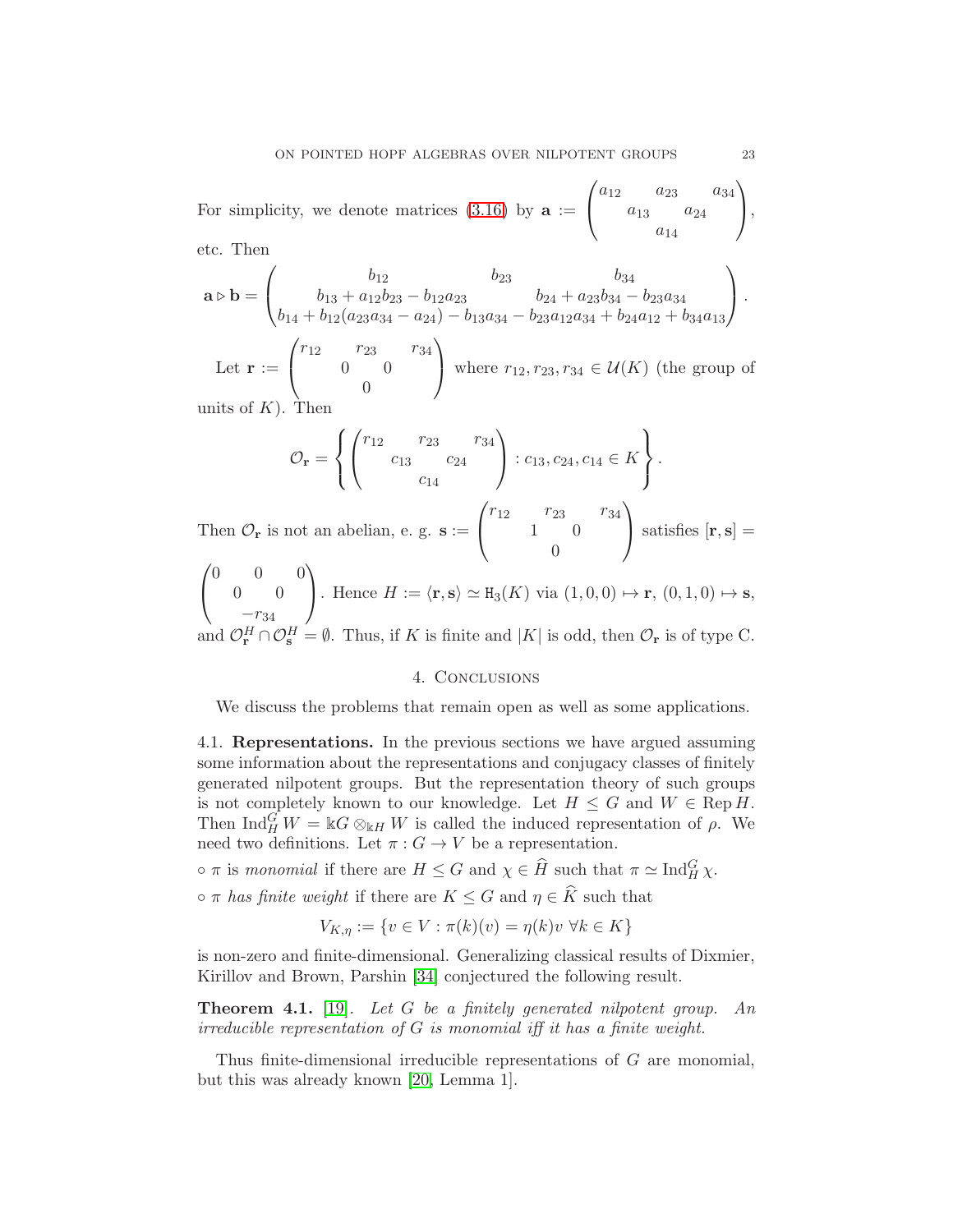For simplicity, we denote matrices  $(3.16)$  by  $a :=$  $\sqrt{ }$  $\mathbf{I}$  $a_{12}$   $a_{23}$   $a_{34}$  $a_{13}$   $a_{24}$  $a_{14}$  $\setminus$  $\vert$ , etc. Then

$$
\mathbf{a} \triangleright \mathbf{b} = \begin{pmatrix} b_{12} & b_{23} & b_{34} \\ b_{13} + a_{12}b_{23} - b_{12}a_{23} & b_{24} + a_{23}b_{34} - b_{23}a_{34} \\ b_{14} + b_{12}(a_{23}a_{34} - a_{24}) - b_{13}a_{34} - b_{23}a_{12}a_{34} + b_{24}a_{12} + b_{34}a_{13} \end{pmatrix}.
$$

Let  $\mathbf{r} :=$  $\sqrt{ }$  $\mathbf{I}$  $r_{12}$   $r_{23}$   $r_{34}$ 0 0  $\overline{0}$  $\setminus$ where  $r_{12}, r_{23}, r_{34} \in \mathcal{U}(K)$  (the group of units of  $K$ ). Then

$$
\mathcal{O}_{\mathbf{r}} = \left\{ \begin{pmatrix} r_{12} & r_{23} & r_{34} \\ & c_{13} & c_{24} \\ & & c_{14} \end{pmatrix} : c_{13}, c_{24}, c_{14} \in K \right\}.
$$

Then  $\mathcal{O}_r$  is not an abelian, e. g.  $s :=$  $\mathbf{I}$  $r_{12}$   $r_{23}$   $r_{34}$ 1 0  $\theta$  $\int$  satisfies  $[\mathbf{r}, \mathbf{s}] =$  $\sqrt{2}$ 

$$
\begin{pmatrix} 0 & 0 & 0 \ 0 & 0 & -r_{34} \ -r_{34} & \end{pmatrix}
$$
. Hence  $H := \langle \mathbf{r}, \mathbf{s} \rangle \simeq \mathbf{H}_3(K)$  via  $(1, 0, 0) \mapsto \mathbf{r}$ ,  $(0, 1, 0) \mapsto \mathbf{s}$ , and  $\mathcal{O}_{\mathbf{r}}^H \cap \mathcal{O}_{\mathbf{s}}^H = \emptyset$ . Thus, if  $K$  is finite and  $|K|$  is odd, then  $\mathcal{O}_{\mathbf{r}}$  is of type C.

## 4. Conclusions

<span id="page-22-0"></span>We discuss the problems that remain open as well as some applications.

4.1. Representations. In the previous sections we have argued assuming some information about the representations and conjugacy classes of finitely generated nilpotent groups. But the representation theory of such groups is not completely known to our knowledge. Let  $H \leq G$  and  $W \in \text{Rep } H$ . Then  $\text{Ind}_{H}^{G} W = \mathbb{k} \mathbb{G} \otimes_{\mathbb{k} H} W$  is called the induced representation of  $\rho$ . We need two definitions. Let  $\pi: G \to V$  be a representation.

 $\circ \pi$  is monomial if there are  $H \leq G$  and  $\chi \in \widehat{H}$  such that  $\pi \simeq \text{Ind}_{H}^{G} \chi$ .

 $\circ \pi$  has finite weight if there are  $K \leq G$  and  $\eta \in \widehat{K}$  such that

$$
V_{K,\eta} := \{ v \in V : \pi(k)(v) = \eta(k)v \,\,\forall k \in K \}
$$

is non-zero and finite-dimensional. Generalizing classical results of Dixmier, Kirillov and Brown, Parshin [\[34\]](#page-25-12) conjectured the following result.

**Theorem 4.1.** [\[19\]](#page-24-19). Let G be a finitely generated nilpotent group. An irreducible representation of G is monomial iff it has a finite weight.

Thus finite-dimensional irreducible representations of G are monomial, but this was already known [\[20,](#page-24-20) Lemma 1].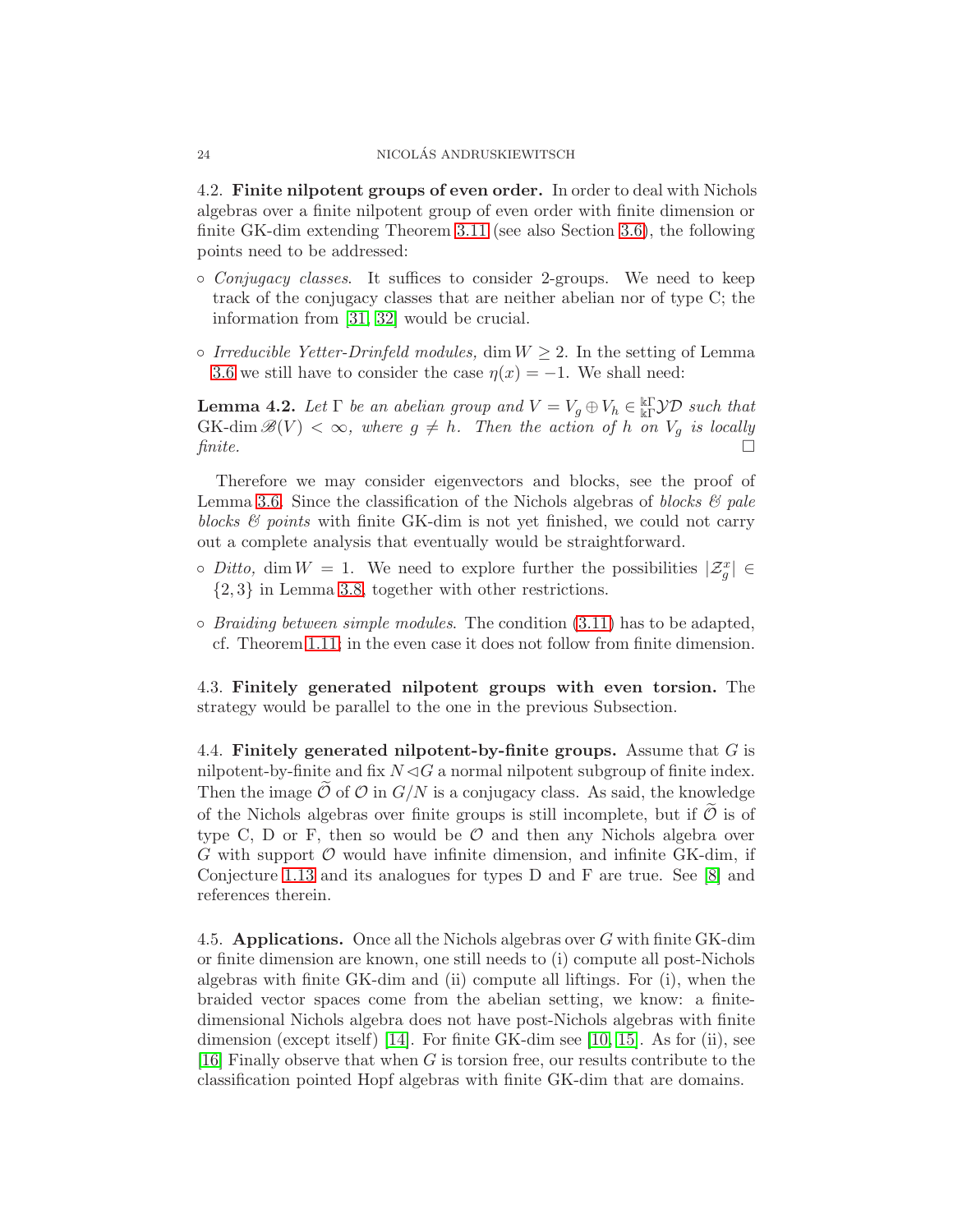<span id="page-23-0"></span>4.2. Finite nilpotent groups of even order. In order to deal with Nichols algebras over a finite nilpotent group of even order with finite dimension or finite GK-dim extending Theorem [3.11](#page-17-0) (see also Section [3.6\)](#page-19-2), the following points need to be addressed:

- Conjugacy classes. It suffices to consider 2-groups. We need to keep track of the conjugacy classes that are neither abelian nor of type C; the information from [\[31,](#page-25-6) 32] would be crucial.
- $\circ$  Irreducible Yetter-Drinfeld modules, dim  $W \geq 2$ . In the setting of Lemma [3.6](#page-15-4) we still have to consider the case  $\eta(x) = -1$ . We shall need:

**Lemma 4.2.** Let  $\Gamma$  be an abelian group and  $V = V_g \oplus V_h \in \mathbb{R}^r$   $\mathcal{YD}$  such that  $GK$ -dim  $\mathscr{B}(V) < \infty$ , where  $g \neq h$ . Then the action of h on  $V_g$  is locally finite.  $\Box$ 

Therefore we may consider eigenvectors and blocks, see the proof of Lemma [3.6.](#page-15-4) Since the classification of the Nichols algebras of blocks  $\mathcal{C}$  pale blocks  $\mathcal{B}$  points with finite GK-dim is not yet finished, we could not carry out a complete analysis that eventually would be straightforward.

- $\circ$  Ditto, dim  $W = 1$ . We need to explore further the possibilities  $|\mathcal{Z}_g^x| \in$ {2, 3} in Lemma [3.8,](#page-16-4) together with other restrictions.
- $\circ$  *Braiding between simple modules.* The condition  $(3.11)$  has to be adapted, cf. Theorem [1.11;](#page-6-2) in the even case it does not follow from finite dimension.

4.3. Finitely generated nilpotent groups with even torsion. The strategy would be parallel to the one in the previous Subsection.

4.4. Finitely generated nilpotent-by-finite groups. Assume that  $G$  is nilpotent-by-finite and fix  $N \triangleleft G$  a normal nilpotent subgroup of finite index. Then the image  $\mathcal O$  of  $\mathcal O$  in  $G/N$  is a conjugacy class. As said, the knowledge of the Nichols algebras over finite groups is still incomplete, but if  $\ddot{\mathcal{O}}$  is of type C, D or F, then so would be  $\mathcal O$  and then any Nichols algebra over  $G$  with support  $\mathcal O$  would have infinite dimension, and infinite GK-dim, if Conjecture [1.13](#page-7-0) and its analogues for types D and F are true. See [\[8\]](#page-24-8) and references therein.

4.5. Applications. Once all the Nichols algebras over G with finite GK-dim or finite dimension are known, one still needs to (i) compute all post-Nichols algebras with finite GK-dim and (ii) compute all liftings. For (i), when the braided vector spaces come from the abelian setting, we know: a finitedimensional Nichols algebra does not have post-Nichols algebras with finite dimension (except itself) [\[14\]](#page-24-12). For finite GK-dim see [10, [15\]](#page-24-21). As for (ii), see [\[16\]](#page-24-22) Finally observe that when  $G$  is torsion free, our results contribute to the classification pointed Hopf algebras with finite GK-dim that are domains.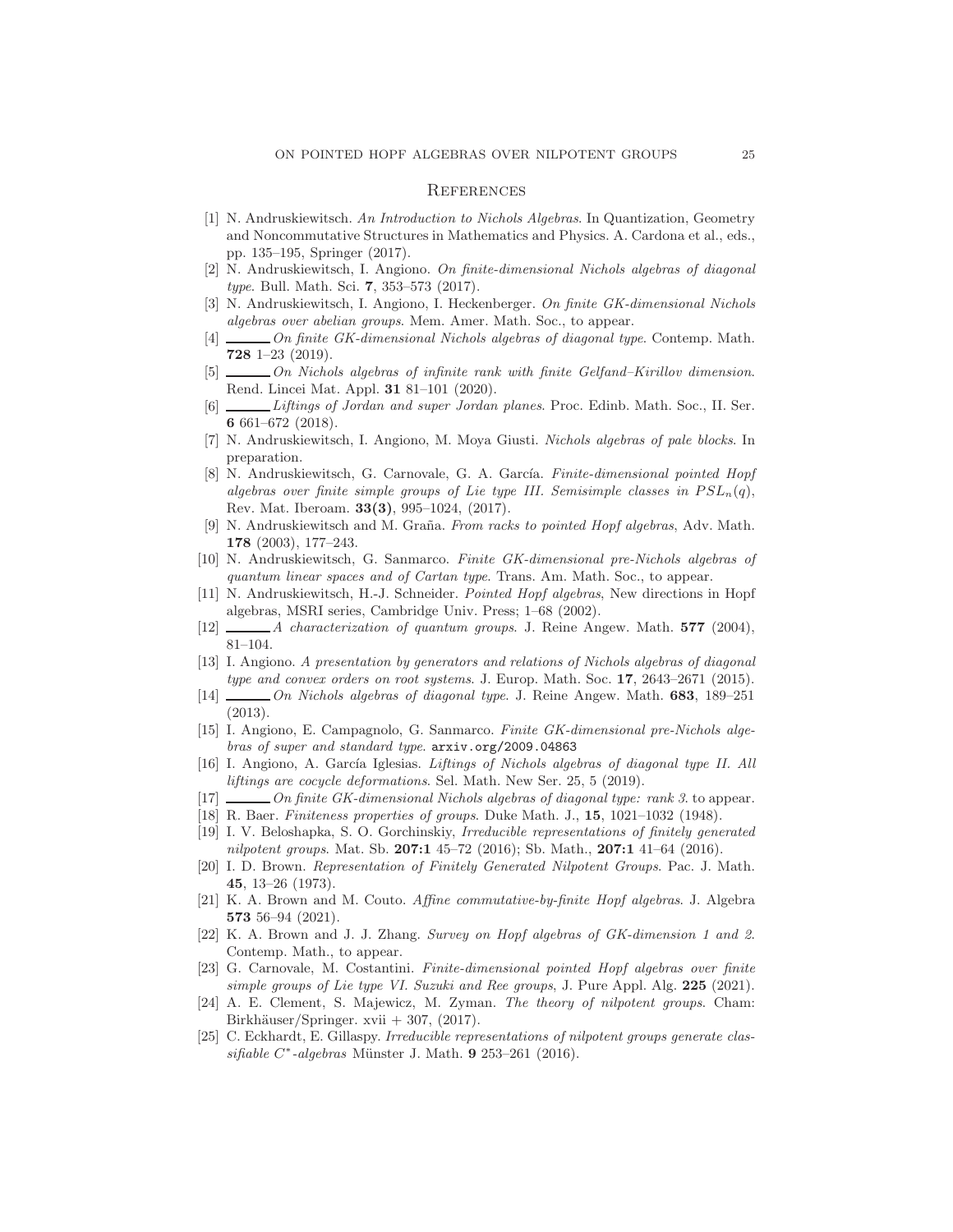#### **REFERENCES**

- <span id="page-24-6"></span>[1] N. Andruskiewitsch. An Introduction to Nichols Algebras. In Quantization, Geometry and Noncommutative Structures in Mathematics and Physics. A. Cardona et al., eds., pp. 135–195, Springer (2017).
- <span id="page-24-13"></span>[2] N. Andruskiewitsch, I. Angiono. On finite-dimensional Nichols algebras of diagonal type. Bull. Math. Sci. 7, 353–573 (2017).
- <span id="page-24-9"></span><span id="page-24-3"></span>N. Andruskiewitsch, I. Angiono, I. Heckenberger. On finite GK-dimensional Nichols algebras over abelian groups. Mem. Amer. Math. Soc., to appear.
- [4]  $\Box$  On finite GK-dimensional Nichols algebras of diagonal type. Contemp. Math. 728 1–23 (2019).
- <span id="page-24-4"></span>[5] On Nichols algebras of infinite rank with finite Gelfand–Kirillov dimension. Rend. Lincei Mat. Appl. 31 81–101 (2020).
- <span id="page-24-18"></span>[6] Liftings of Jordan and super Jordan planes. Proc. Edinb. Math. Soc., II. Ser. 6 661–672 (2018).
- <span id="page-24-5"></span>[7] N. Andruskiewitsch, I. Angiono, M. Moya Giusti. Nichols algebras of pale blocks. In preparation.
- <span id="page-24-8"></span>[8] N. Andruskiewitsch, G. Carnovale, G. A. García. Finite-dimensional pointed Hopf algebras over finite simple groups of Lie type III. Semisimple classes in  $PSL_n(q)$ , Rev. Mat. Iberoam. 33(3), 995–1024, (2017).
- <span id="page-24-14"></span>[9] N. Andruskiewitsch and M. Graña. From racks to pointed Hopf algebras, Adv. Math. 178 (2003), 177–243.
- [10] N. Andruskiewitsch, G. Sanmarco. Finite GK-dimensional pre-Nichols algebras of quantum linear spaces and of Cartan type. Trans. Am. Math. Soc., to appear.
- [11] N. Andruskiewitsch, H.-J. Schneider. Pointed Hopf algebras, New directions in Hopf algebras, MSRI series, Cambridge Univ. Press; 1–68 (2002).
- <span id="page-24-11"></span><span id="page-24-2"></span>[12] *A characterization of quantum groups.* J. Reine Angew. Math. **577** (2004), 81–104.
- [13] I. Angiono. A presentation by generators and relations of Nichols algebras of diagonal type and convex orders on root systems. J. Europ. Math. Soc. 17, 2643-2671 (2015).
- <span id="page-24-12"></span>[14] On Nichols algebras of diagonal type. J. Reine Angew. Math. 683, 189–251 (2013).
- <span id="page-24-21"></span>[15] I. Angiono, E. Campagnolo, G. Sanmarco. Finite GK-dimensional pre-Nichols algebras of super and standard type. arxiv.org/2009.04863
- <span id="page-24-22"></span>[16] I. Angiono, A. García Iglesias. Liftings of Nichols algebras of diagonal type II. All liftings are cocycle deformations. Sel. Math. New Ser. 25, 5 (2019).
- <span id="page-24-16"></span><span id="page-24-10"></span>[17] On finite GK-dimensional Nichols algebras of diagonal type: rank 3. to appear.
- <span id="page-24-19"></span>[18] R. Baer. Finiteness properties of groups. Duke Math. J., 15, 1021–1032 (1948).
- [19] I. V. Beloshapka, S. O. Gorchinskiy, Irreducible representations of finitely generated nilpotent groups. Mat. Sb.  $207:1$  45–72 (2016); Sb. Math.,  $207:1$  41–64 (2016).
- <span id="page-24-20"></span>[20] I. D. Brown. Representation of Finitely Generated Nilpotent Groups. Pac. J. Math. 45, 13–26 (1973).
- <span id="page-24-0"></span>[21] K. A. Brown and M. Couto. Affine commutative-by-finite Hopf algebras. J. Algebra 573 56–94 (2021).
- <span id="page-24-1"></span>[22] K. A. Brown and J. J. Zhang. Survey on Hopf algebras of GK-dimension 1 and 2. Contemp. Math., to appear.
- <span id="page-24-7"></span>[23] G. Carnovale, M. Costantini. Finite-dimensional pointed Hopf algebras over finite simple groups of Lie type VI. Suzuki and Ree groups, J. Pure Appl. Alg. 225 (2021).
- <span id="page-24-15"></span>[24] A. E. Clement, S. Majewicz, M. Zyman. The theory of nilpotent groups. Cham: Birkhäuser/Springer. xvii  $+307$ , (2017).
- <span id="page-24-17"></span>[25] C. Eckhardt, E. Gillaspy. Irreducible representations of nilpotent groups generate clas $sifiable C*-algebras$  Münster J. Math. 9 253-261 (2016).